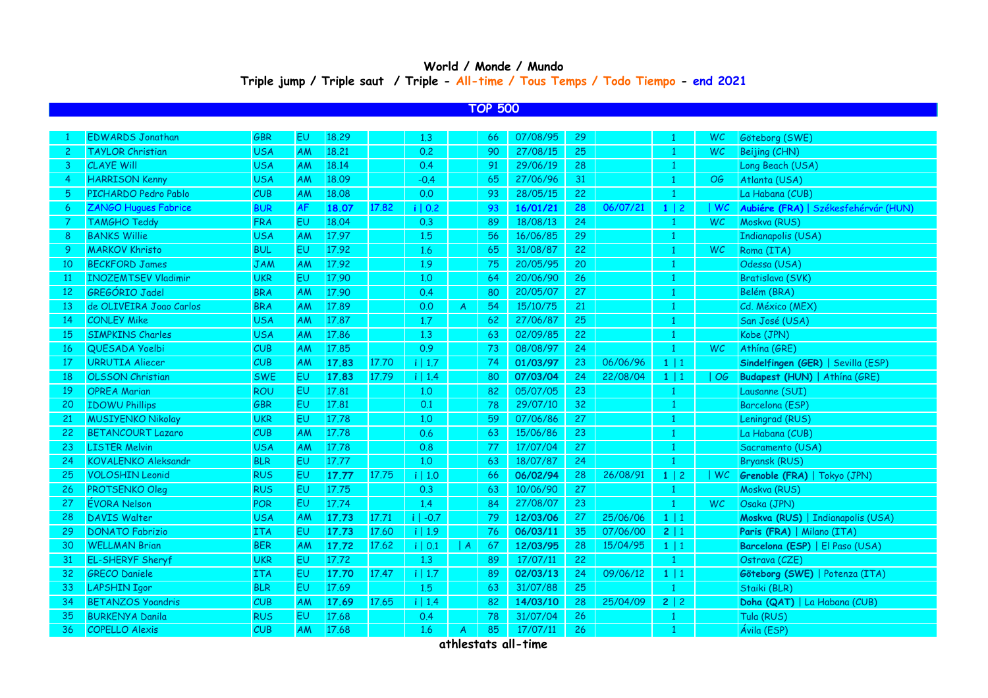## **World / Monde / Mundo Triple jump / Triple saut / Triple - All-time / Tous Temps / Todo Tiempo - end 2021**

## **TOP 500**

|    | <b>EDWARDS Jonathan</b>     | <b>GBR</b> | <b>EU</b> | 18,29 |       | 1.3        |   | 66  | 07/08/95 | 29 |          |                | WC        | Göteborg (SWE)                       |
|----|-----------------------------|------------|-----------|-------|-------|------------|---|-----|----------|----|----------|----------------|-----------|--------------------------------------|
| 2  | <b>TAYLOR Christian</b>     | <b>USA</b> | AM        | 18,21 |       | 0.2        |   | 90  | 27/08/15 | 25 |          | $\mathbf{1}$   | <b>WC</b> | Beijing (CHN)                        |
| 3  | <b>CLAYE Will</b>           | <b>USA</b> | AM        | 18.14 |       | 0.4        |   | 91  | 29/06/19 | 28 |          | -1             |           | Long Beach (USA)                     |
| 4  | <b>HARRISON Kenny</b>       | <b>USA</b> | AM        | 18.09 |       | $-0.4$     |   | 65  | 27/06/96 | 31 |          |                | OG        | Atlanta (USA)                        |
| 5  | PICHARDO Pedro Pablo        | CUB        | AM        | 18.08 |       | 0.0        |   | 93  | 28/05/15 | 22 |          | -1             |           | La Habana (CUB)                      |
| 6  | <b>ZANGO Hugues Fabrice</b> | <b>BUR</b> | <b>AF</b> | 18.07 | 17.82 | i   0.2    |   | 93  | 16/01/21 | 28 | 06/07/21 | 1 2            | WC        | Aubiére (FRA)   Székesfehérvár (HUN) |
|    | <b>TAMGHO Teddy</b>         | <b>FRA</b> | <b>EU</b> | 18.04 |       | 0.3        |   | 89  | 18/08/13 | 24 |          | -1             | WC.       | Moskva (RUS)                         |
| 8  | <b>BANKS Willie</b>         | <b>USA</b> | <b>AM</b> | 17.97 |       | 1.5        |   | 56  | 16/06/85 | 29 |          | -1             |           | Indianapolis (USA)                   |
| 9  | <b>MARKOV Khristo</b>       | <b>BUL</b> | EU        | 17.92 |       | 1.6        |   | 65  | 31/08/87 | 22 |          | -1             | <b>WC</b> | Roma (ITA)                           |
| 10 | <b>BECKFORD James</b>       | <b>JAM</b> | <b>AM</b> | 17.92 |       | 1.9        |   | 75  | 20/05/95 | 20 |          |                |           | Odessa (USA)                         |
| 11 | <b>INOZEMTSEV Vladimir</b>  | <b>UKR</b> | EU        | 17.90 |       | 1,0        |   | -64 | 20/06/90 | 26 |          |                |           | Bratislava (SVK)                     |
| 12 | GREGÓRIO Jadel              | <b>BRA</b> | <b>AM</b> | 17.90 |       | 0.4        |   | 80  | 20/05/07 | 27 |          | -1             |           | Belém (BRA)                          |
| 13 | de OLIVEIRA Joao Carlos     | <b>BRA</b> | <b>AM</b> | 17.89 |       | 0.0        | A | 54  | 15/10/75 | 21 |          | -1             |           | Cd. México (MEX)                     |
| 14 | <b>CONLEY Mike</b>          | <b>USA</b> | <b>AM</b> | 17.87 |       | 1.7        |   | 62  | 27/06/87 | 25 |          | -1             |           | San José (USA)                       |
| 15 | <b>SIMPKINS Charles</b>     | <b>USA</b> | AM        | 17.86 |       | 1.3        |   | 63  | 02/09/85 | 22 |          | -1             |           | Kobe (JPN)                           |
| 16 | QUESADA Yoelbi              | CUB        | AM        | 17.85 |       | 0.9        |   | 73  | 08/08/97 | 24 |          | 1              | <b>WC</b> | Athína (GRE)                         |
| 17 | <b>URRUTIA Aliecer</b>      | CUB        | <b>AM</b> | 17.83 | 17.70 | $i$   1.7  |   | 74  | 01/03/97 | 23 | 06/06/96 | $1 \mid 1$     |           | Sindelfingen (GER)   Sevilla (ESP)   |
| 18 | <b>OLSSON Christian</b>     | <b>SWE</b> | EU        | 17.83 | 17.79 | i   1.4    |   | 80  | 07/03/04 | 24 | 22/08/04 | $1 \mid 1$     | OG        | Budapest (HUN)   Athina (GRE)        |
| 19 | <b>OPREA Marian</b>         | <b>ROU</b> | EU        | 17.81 |       | 1.0        |   | 82  | 05/07/05 | 23 |          | -1             |           | Lausanne (SUI)                       |
| 20 | <b>IDOWU Phillips</b>       | GBR        | EU        | 17.81 |       | 0.1        |   | 78  | 29/07/10 | 32 |          | 1              |           | Barcelona (ESP)                      |
| 21 | <b>MUSIYENKO Nikolay</b>    | <b>UKR</b> | EU        | 17.78 |       | 1.0        |   | 59  | 07/06/86 | 27 |          | -1             |           | Leningrad (RUS)                      |
| 22 | <b>BETANCOURT Lazaro</b>    | CUB        | AM        | 17.78 |       | 0.6        |   | 63  | 15/06/86 | 23 |          |                |           | La Habana (CUB)                      |
| 23 | <b>LISTER Melvin</b>        | <b>USA</b> | <b>AM</b> | 17.78 |       | 0.8        |   | 77  | 17/07/04 | 27 |          |                |           | Sacramento (USA)                     |
| 24 | <b>KOVALENKO Aleksandr</b>  | <b>BLR</b> | EU        | 17.77 |       | 1,0        |   | 63  | 18/07/87 | 24 |          |                |           | <b>Bryansk (RUS)</b>                 |
| 25 | <b>VOLOSHIN Leonid</b>      | <b>RUS</b> | EU        | 17.77 | 17.75 | i   1.0    |   | 66  | 06/02/94 | 28 | 26/08/91 | $1 \mid 2$     | WC .      | Grenoble (FRA)   Tokyo (JPN)         |
| 26 | <b>PROTSENKO Oleg</b>       | <b>RUS</b> | EU        | 17.75 |       | 0.3        |   | 63  | 10/06/90 | 27 |          |                |           | Moskva (RUS)                         |
| 27 | <b>EVORA Nelson</b>         | <b>POR</b> | EU        | 17.74 |       | 1.4        |   | 84  | 27/08/07 | 23 |          | 1              | <b>WC</b> | Osaka (JPN)                          |
| 28 | <b>DAVIS Walter</b>         | <b>USA</b> | <b>AM</b> | 17.73 | 17.71 | $i$   -0.7 |   | 79  | 12/03/06 | 27 | 25/06/06 | $1 \mid 1$     |           | Moskva (RUS)   Indianapolis (USA)    |
| 29 | <b>DONATO Fabrizio</b>      | <b>ITA</b> | <b>EU</b> | 17.73 | 17,60 | $i$   1.9  |   | 76  | 06/03/11 | 35 | 07/06/00 | 2   1          |           | Paris (FRA)   Milano (ITA)           |
| 30 | <b>WELLMAN Brian</b>        | <b>BER</b> | <b>AM</b> | 17.72 | 17.62 | $i$   0.1  | A | 67  | 12/03/95 | 28 | 15/04/95 | $1 \mid 1$     |           | Barcelona (ESP)   El Paso (USA)      |
| 31 | <b>EL-SHERYF Sheryf</b>     | <b>UKR</b> | EU        | 17.72 |       | 1,3        |   | 89  | 17/07/11 | 22 |          | -1             |           | Ostrava (CZE)                        |
| 32 | <b>GRECO Daniele</b>        | <b>ITA</b> | EU        | 17.70 | 17.47 | $i$   1.7  |   | 89  | 02/03/13 | 24 | 09/06/12 | $1 \mid 1$     |           | Göteborg (SWE)   Potenza (ITA)       |
| 33 | <b>LAPSHIN Igor</b>         | <b>BLR</b> | EU        | 17.69 |       | 1.5        |   | 63  | 31/07/88 | 25 |          | $\overline{1}$ |           | Staiki (BLR)                         |
| 34 | <b>BETANZOS Yoandris</b>    | CUB        | AM        | 17.69 | 17.65 | i   1.4    |   | 82  | 14/03/10 | 28 | 25/04/09 | 2   2          |           | Doha (QAT)   La Habana (CUB)         |
| 35 | <b>BURKENYA Danila</b>      | <b>RUS</b> | EU        | 17.68 |       | 0.4        |   | 78  | 31/07/04 | 26 |          |                |           | Tula (RUS)                           |
| 36 | <b>COPELLO Alexis</b>       | CUB        | AM        | 17.68 |       | 1.6        | A | 85  | 17/07/11 | 26 |          | $\mathbf{1}$   |           | Ávila (ESP)                          |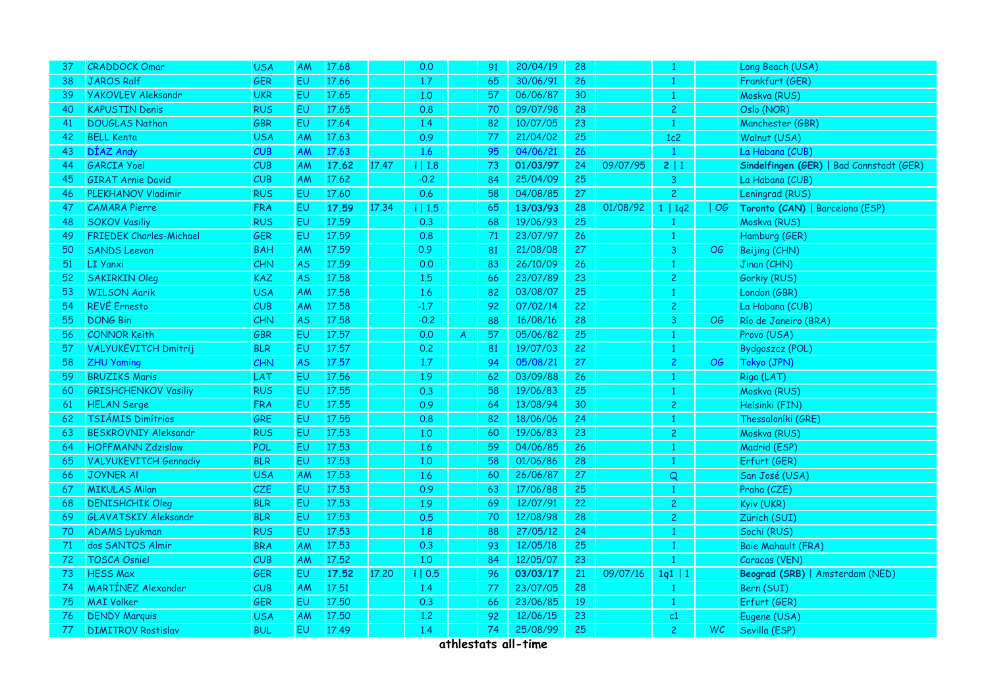| 37 | <b>CRADDOCK Omar</b>           | <b>USA</b> | <b>AM</b> | 17.68 |       | 0.0       |   | 91 | 20/04/19 | 28              |          | -1             |     | Long Beach (USA)                         |
|----|--------------------------------|------------|-----------|-------|-------|-----------|---|----|----------|-----------------|----------|----------------|-----|------------------------------------------|
| 38 | <b>JAROS Ralf</b>              | <b>GER</b> | EU.       | 17.66 |       | 1.7       |   | 65 | 30/06/91 | 26              |          | $\overline{1}$ |     | Frankfurt (GER)                          |
| 39 | <b>YAKOVLEV Aleksandr</b>      | <b>UKR</b> | EU        | 17.65 |       | 1.0       |   | 57 | 06/06/87 | 30              |          | -1             |     | Moskva (RUS)                             |
| 40 | <b>KAPUSTIN Denis</b>          | <b>RUS</b> | EU        | 17.65 |       | 0.8       |   | 70 | 09/07/98 | 28              |          | $\overline{c}$ |     | Oslo (NOR)                               |
| 41 | <b>DOUGLAS Nathan</b>          | GBR        | EU        | 17.64 |       | 1.4       |   | 82 | 10/07/05 | 23              |          | $\mathbf{1}$   |     | Manchester (GBR)                         |
| 42 | <b>BELL Kenta</b>              | <b>USA</b> | AM        | 17.63 |       | 0.9       |   | 77 | 21/04/02 | 25              |          | 1c2            |     | Walnut (USA)                             |
| 43 | DÍAZ Andy                      | CUB        | AM        | 17.63 |       | 1.6       |   | 95 | 04/06/21 | 26              |          | $\mathbf{1}$   |     | La Habana (CUB)                          |
| 44 | <b>GARCIA Yoel</b>             | CUB        | <b>AM</b> | 17.62 | 17.47 | $i$   1.8 |   | 73 | 01/03/97 | 24              | 09/07/95 | 2 1            |     | Sindelfingen (GER)   Bad Cannstadt (GER) |
| 45 | <b>GIRAT Arnie David</b>       | CUB        | AM        | 17.62 |       | $-0.2$    |   | 84 | 25/04/09 | 25              |          | $\mathbf{3}$   |     | La Habana (CUB)                          |
| 46 | <b>PLEKHANOV Vladimir</b>      | <b>RUS</b> | EU        | 17.60 |       | 0.6       |   | 58 | 04/08/85 | 27 <sup>°</sup> |          | $\overline{2}$ |     | Leningrad (RUS)                          |
| 47 | <b>CAMARA</b> Pierre           | <b>FRA</b> | EU        | 17.59 | 17.34 | i   1.5   |   | 65 | 13/03/93 | 28              | 01/08/92 | 1   1q2        | OG  | Toronto (CAN)   Barcelona (ESP)          |
| 48 | <b>SOKOV Vasiliy</b>           | <b>RUS</b> | EU        | 17.59 |       | 0.3       |   | 68 | 19/06/93 | 25              |          |                |     | Moskva (RUS)                             |
| 49 | <b>FRIEDEK Charles-Michael</b> | GER        | EU        | 17.59 |       | 0.8       |   | 71 | 23/07/97 | 26              |          | -1             |     | Hamburg (GER)                            |
| 50 | <b>SANDS Leevan</b>            | <b>BAH</b> | <b>AM</b> | 17.59 |       | 0.9       |   | 81 | 21/08/08 | 27              |          | 3              | OG  | Beijing (CHN)                            |
| 51 | LI Yanxi                       | CHN        | <b>AS</b> | 17.59 |       | 0.0       |   | 83 | 26/10/09 | 26              |          |                |     | Jinan (CHN)                              |
| 52 | <b>SAKIRKIN Oleg</b>           | <b>KAZ</b> | <b>AS</b> | 17.58 |       | 1.5       |   | 66 | 23/07/89 | 23              |          | $\overline{2}$ |     | Gorkiy (RUS)                             |
| 53 | <b>WILSON Aarik</b>            | <b>USA</b> | AM        | 17.58 |       | 1.6       |   | 82 | 03/08/07 | 25              |          |                |     | London (GBR)                             |
| 54 | <b>REVÉ Ernesto</b>            | CUB        | AM        | 17.58 |       | $-1.7$    |   | 92 | 07/02/14 | 22              |          | $\overline{c}$ |     | La Habana (CUB)                          |
| 55 | <b>DONG Bin</b>                | CHN        | <b>AS</b> | 17.58 |       | $-0.2$    |   | 88 | 16/08/16 | 28              |          | 3              | OG  | Río de Janeiro (BRA)                     |
| 56 | <b>CONNOR Keith</b>            | GBR        | EU        | 17.57 |       | 0.0       | A | 57 | 05/06/82 | 25              |          | -1             |     | Provo (USA)                              |
| 57 | <b>VALYUKEVITCH Dmitrij</b>    | <b>BLR</b> | EU        | 17.57 |       | 0.2       |   | 81 | 19/07/03 | 22              |          |                |     | Bydgoszcz (POL)                          |
| 58 | <b>ZHU Yaming</b>              | CHN        | <b>AS</b> | 17.57 |       | 1.7       |   | 94 | 05/08/21 | 27              |          | $\mathbf{2}$   | OG  | Tokyo (JPN)                              |
| 59 | <b>BRUZIKS Maris</b>           | LAT        | EU        | 17.56 |       | 1.9       |   | 62 | 03/09/88 | 26              |          | $\overline{1}$ |     | Riga (LAT)                               |
| 60 | <b>GRISHCHENKOV Vasiliy</b>    | <b>RUS</b> | EU        | 17.55 |       | 0.3       |   | 58 | 19/06/83 | 25              |          |                |     | Moskva (RUS)                             |
| 61 | <b>HELAN Serge</b>             | <b>FRA</b> | EU        | 17.55 |       | 0.9       |   | 64 | 13/08/94 | 30              |          | $\overline{c}$ |     | Helsinki (FIN)                           |
| 62 | TSIÁMIS Dimítrios              | GRE        | EU        | 17.55 |       | 0.8       |   | 82 | 18/06/06 | 24              |          |                |     | Thessaloníki (GRE)                       |
| 63 | <b>BESKROVNIY Aleksandr</b>    | <b>RUS</b> | EU        | 17.53 |       | 1.0       |   | 60 | 19/06/83 | 23              |          | $\overline{2}$ |     | Moskva (RUS)                             |
| 64 | <b>HOFFMANN Zdzislaw</b>       | POL        | EU        | 17.53 |       | 1.6       |   | 59 | 04/06/85 | 26              |          |                |     | Madrid (ESP)                             |
| 65 | <b>VALYUKEVITCH Gennadiy</b>   | <b>BLR</b> | EU        | 17.53 |       | 1.0       |   | 58 | 01/06/86 | 28              |          | $\overline{1}$ |     | Erfurt (GER)                             |
| 66 | <b>JOYNER AI</b>               | <b>USA</b> | <b>AM</b> | 17.53 |       | 1.6       |   | 60 | 26/06/87 | 27              |          | Q              |     | San José (USA)                           |
| 67 | <b>MIKULAS Milan</b>           | CZE        | EU        | 17.53 |       | 0.9       |   | 63 | 17/06/88 | 25              |          |                |     | Praha (CZE)                              |
| 68 | <b>DENISHCHIK Oleg</b>         | <b>BLR</b> | EU        | 17.53 |       | 1.9       |   | 69 | 12/07/91 | 22              |          | $\overline{c}$ |     | Kyiv (UKR)                               |
| 69 | <b>GLAVATSKIY Aleksandr</b>    | <b>BLR</b> | EU        | 17.53 |       | 0.5       |   | 70 | 12/08/98 | 28              |          | $\overline{2}$ |     | Zürich (SUI)                             |
| 70 | <b>ADAMS Lyukman</b>           | <b>RUS</b> | EU        | 17.53 |       | 1.8       |   | 88 | 27/05/12 | 24              |          | $\mathbf{1}$   |     | Sochi (RUS)                              |
| 71 | dos SANTOS Almir               | <b>BRA</b> | AM        | 17.53 |       | 0.3       |   | 93 | 12/05/18 | 25              |          | $\mathbf{1}$   |     | <b>Baie Mahault (FRA)</b>                |
| 72 | <b>TOSCA Osniel</b>            | <b>CUB</b> | AM        | 17.52 |       | 1.0       |   | 84 | 12/05/07 | 23              |          |                |     | Caracas (VEN)                            |
| 73 | <b>HESS Max</b>                | GER        | EU        | 17.52 | 17.20 | i   0.5   |   | 96 | 03/03/17 | 21              | 09/07/16 | $1q1$   1      |     | Beograd (SRB)   Amsterdam (NED)          |
| 74 | <b>MARTINEZ Alexander</b>      | CUB        | AM        | 17.51 |       | 1.4       |   | 77 | 23/07/05 | 28              |          |                |     | Bern (SUI)                               |
| 75 | <b>MAI Volker</b>              | GER        | EU        | 17.50 |       | 0.3       |   | 66 | 23/06/85 | 19              |          | $\mathbf{1}$   |     | Erfurt (GER)                             |
| 76 | <b>DENDY Marquis</b>           | <b>USA</b> | AM        | 17.50 |       | 1.2       |   | 92 | 12/06/15 | 23              |          | c1             |     | Eugene (USA)                             |
| 77 | <b>DIMITROV Rostislav</b>      | <b>BUL</b> | EU.       | 17.49 |       | 1.4       |   | 74 | 25/08/99 | 25              |          | $\overline{2}$ | WC. | Sevilla (ESP)                            |
|    |                                |            |           |       |       |           |   |    |          |                 |          |                |     |                                          |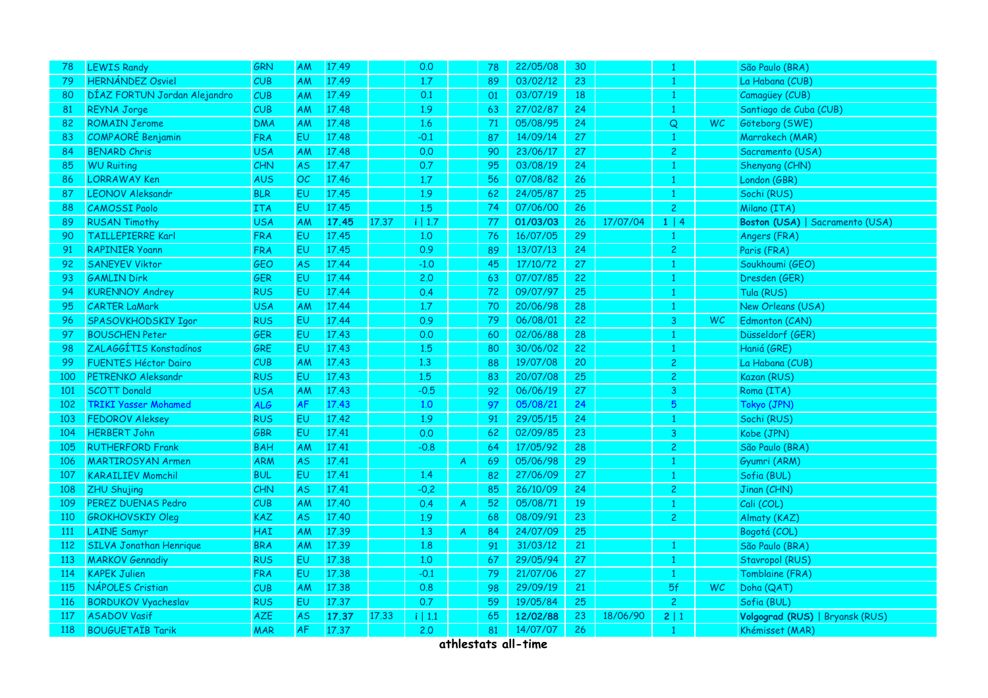| 78         | <b>LEWIS Randy</b>             | GRN        | <b>AM</b> | 17.49 |       | 0.0     |    | 78 | 22/05/08 | 30              |          |                |           | São Paulo (BRA)                 |
|------------|--------------------------------|------------|-----------|-------|-------|---------|----|----|----------|-----------------|----------|----------------|-----------|---------------------------------|
| 79         | <b>HERNÁNDEZ Osviel</b>        | CUB        | AM        | 17.49 |       | 1.7     |    | 89 | 03/02/12 | 23              |          | $\mathbf{1}$   |           | La Habana (CUB)                 |
| 80         | DÍAZ FORTUN Jordan Alejandro   | CUB        | <b>AM</b> | 17.49 |       | 0.1     |    | 01 | 03/07/19 | 18              |          | $\mathbf{1}$   |           | Camagüey (CUB)                  |
| 81         | <b>REYNA Jorge</b>             | CUB        | AM        | 17.48 |       | 1.9     |    | 63 | 27/02/87 | 24              |          |                |           | Santiago de Cuba (CUB)          |
| 82         | <b>ROMAIN Jerome</b>           | <b>DMA</b> | AM        | 17.48 |       | 1.6     |    | 71 | 05/08/95 | 24              |          | Q              | <b>WC</b> | Göteborg (SWE)                  |
| 83         | <b>COMPAORÉ Benjamin</b>       | <b>FRA</b> | EU        | 17.48 |       | $-0.1$  |    | 87 | 14/09/14 | 27              |          | $\mathbf{1}$   |           | Marrakech (MAR)                 |
| 84         | <b>BENARD Chris</b>            | <b>USA</b> | AM        | 17.48 |       | 0.0     |    | 90 | 23/06/17 | 27              |          | $\overline{2}$ |           | Sacramento (USA)                |
| 85         | <b>WU Ruiting</b>              | <b>CHN</b> | <b>AS</b> | 17.47 |       | 0.7     |    | 95 | 03/08/19 | 24              |          | -1             |           | Shenyang (CHN)                  |
| 86         | <b>LORRAWAY Ken</b>            | <b>AUS</b> | OC        | 17.46 |       | 1.7     |    | 56 | 07/08/82 | 26              |          |                |           | London (GBR)                    |
| 87         | <b>LEONOV Aleksandr</b>        | <b>BLR</b> | EU        | 17.45 |       | 1.9     |    | 62 | 24/05/87 | 25              |          | -1             |           | Sochi (RUS)                     |
| 88         | <b>CAMOSSI Paolo</b>           | <b>ITA</b> | EU        | 17.45 |       | 1.5     |    | 74 | 07/06/00 | 26              |          | $\overline{2}$ |           | Milano (ITA)                    |
| 89         | <b>RUSAN Timothy</b>           | <b>USA</b> | AM        | 17.45 | 17.37 | i   1.7 |    | 77 | 01/03/03 | 26              | 17/07/04 | 1   4          |           | Boston (USA)   Sacramento (USA) |
| 90         | <b>TAILLEPIERRE Karl</b>       | <b>FRA</b> | EU        | 17.45 |       | 1.0     |    | 76 | 16/07/05 | 29              |          | -1             |           | Angers (FRA)                    |
| 91         | <b>RAPINIER Yoann</b>          | <b>FRA</b> | EU        | 17.45 |       | 0.9     |    | 89 | 13/07/13 | 24              |          | $\overline{2}$ |           | Paris (FRA)                     |
| 92         | <b>SANEYEV Viktor</b>          | GEO        | AS        | 17.44 |       | $-1.0$  |    | 45 | 17/10/72 | 27              |          |                |           | Soukhoumi (GEO)                 |
| 93         | <b>GAMLIN Dirk</b>             | <b>GER</b> | EU        | 17.44 |       | 2.0     |    | 63 | 07/07/85 | 22              |          |                |           | Dresden (GER)                   |
| 94         | <b>KURENNOY Andrey</b>         | <b>RUS</b> | EU        | 17.44 |       | 0.4     |    | 72 | 09/07/97 | 25              |          | -1             |           | Tula (RUS)                      |
| 95         | <b>CARTER LaMark</b>           | <b>USA</b> | AM        | 17.44 |       | 1.7     |    | 70 | 20/06/98 | 28              |          | $\overline{1}$ |           | New Orleans (USA)               |
| 96         | SPASOVKHODSKIY Igor            | <b>RUS</b> | EU        | 17.44 |       | 0.9     |    | 79 | 06/08/01 | 22              |          | 3              | WC.       | Edmonton (CAN)                  |
| 97         | <b>BOUSCHEN Peter</b>          | <b>GER</b> | EU        | 17.43 |       | 0.0     |    | 60 | 02/06/88 | 28              |          | -1             |           | Düsseldorf (GER)                |
| 98         | ZALAGGÍTIS Konstadínos         | GRE        | EU        | 17.43 |       | 1.5     |    | 80 | 30/06/02 | 22              |          |                |           | Haniá (GRE)                     |
| 99         | <b>FUENTES Héctor Dairo</b>    | CUB        | AM        | 17.43 |       | 1.3     |    | 88 | 19/07/08 | 20              |          | $\mathbf{2}$   |           | La Habana (CUB)                 |
| 100        | PETRENKO Aleksandr             | <b>RUS</b> | EU        | 17.43 |       | 1.5     |    | 83 | 20/07/08 | 25              |          | $\overline{c}$ |           | Kazan (RUS)                     |
| 101        | <b>SCOTT Donald</b>            | <b>USA</b> | AM        | 17.43 |       | $-0.5$  |    | 92 | 06/06/19 | 27              |          | 3              |           | Roma (ITA)                      |
| 102        | <b>TRIKI Yasser Mohamed</b>    | <b>ALG</b> | <b>AF</b> | 17.43 |       | 1.0     |    | 97 | 05/08/21 | 24              |          | 5              |           | Tokyo (JPN)                     |
| 103        | <b>FEDOROV Aleksey</b>         | <b>RUS</b> | EU        | 17.42 |       | 1.9     |    | 91 | 29/05/15 | 24              |          | -1             |           | Sochi (RUS)                     |
| 104        | <b>HERBERT John</b>            | <b>GBR</b> | EU        | 17.41 |       | 0.0     |    | 62 | 02/09/85 | 23              |          | 3              |           | Kobe (JPN)                      |
| 105        | <b>RUTHERFORD Frank</b>        | <b>BAH</b> | AM        | 17.41 |       | $-0.8$  |    | 64 | 17/05/92 | 28              |          | $\overline{c}$ |           | São Paulo (BRA)                 |
| 106        | <b>MARTIROSYAN Armen</b>       | <b>ARM</b> | AS        | 17.41 |       |         | A  | 69 | 05/06/98 | 29              |          |                |           | Gyumri (ARM)                    |
| 107        | <b>KARAILIEV Momchil</b>       | <b>BUL</b> | EU        | 17.41 |       | 1.4     |    | 82 | 27/06/09 | 27              |          |                |           | Sofia (BUL)                     |
| 108        | <b>ZHU Shujing</b>             | CHN        | <b>AS</b> | 17.41 |       | $-0,2$  |    | 85 | 26/10/09 | 24              |          | $\overline{2}$ |           | Jinan (CHN)                     |
| 109        | PEREZ DUENAS Pedro             | CUB        | AM        | 17.40 |       | 0.4     | A. | 52 | 05/08/71 | 19              |          |                |           | Cali (COL)                      |
| 110        | <b>GROKHOVSKIY Oleg</b>        | <b>KAZ</b> | AS.       | 17.40 |       | 1.9     |    | 68 | 08/09/91 | 23              |          | $\overline{2}$ |           | Almaty (KAZ)                    |
| <b>111</b> | <b>LAINE Samyr</b>             | HAI        | <b>AM</b> | 17.39 |       | 1.3     | A  | 84 | 24/07/09 | 25              |          |                |           | Bogotá (COL)                    |
| 112        | <b>SILVA Jonathan Henrique</b> | <b>BRA</b> | AM        | 17.39 |       | 1.8     |    | 91 | 31/03/12 | 21              |          | -1             |           | São Paulo (BRA)                 |
| 113        | <b>MARKOV Gennadiy</b>         | <b>RUS</b> | EU        | 17.38 |       | 1,0     |    | 67 | 29/05/94 | 27              |          |                |           | Stavropol (RUS)                 |
| 114        | <b>KAPEK Julien</b>            | <b>FRA</b> | EU        | 17.38 |       | $-0.1$  |    | 79 | 21/07/06 | 27              |          | -1             |           | Tomblaine (FRA)                 |
| 115        | NÁPOLES Cristian               | CUB        | AM        | 17.38 |       | 0.8     |    | 98 | 29/09/19 | 21              |          | 5f             | <b>WC</b> | Doha (QAT)                      |
| 116        | <b>BORDUKOV Vyacheslav</b>     | <b>RUS</b> | EU        | 17.37 |       | 0.7     |    | 59 | 19/05/84 | 25 <sub>1</sub> |          | $\overline{2}$ |           | Sofia (BUL)                     |
| 117        | <b>ASADOV Vasif</b>            | <b>AZE</b> | <b>AS</b> | 17.37 | 17.33 | i   1.1 |    | 65 | 12/02/88 | 23              | 18/06/90 | 2 1            |           | Volgograd (RUS)   Bryansk (RUS) |
| 118        | <b>BOUGUETAÏB Tarik</b>        | <b>MAR</b> | <b>AF</b> | 17.37 |       | 2.0     |    | 81 | 14/07/07 | 26              |          | -1             |           | Khémisset (MAR)                 |
|            |                                |            |           |       |       |         |    |    |          |                 |          |                |           |                                 |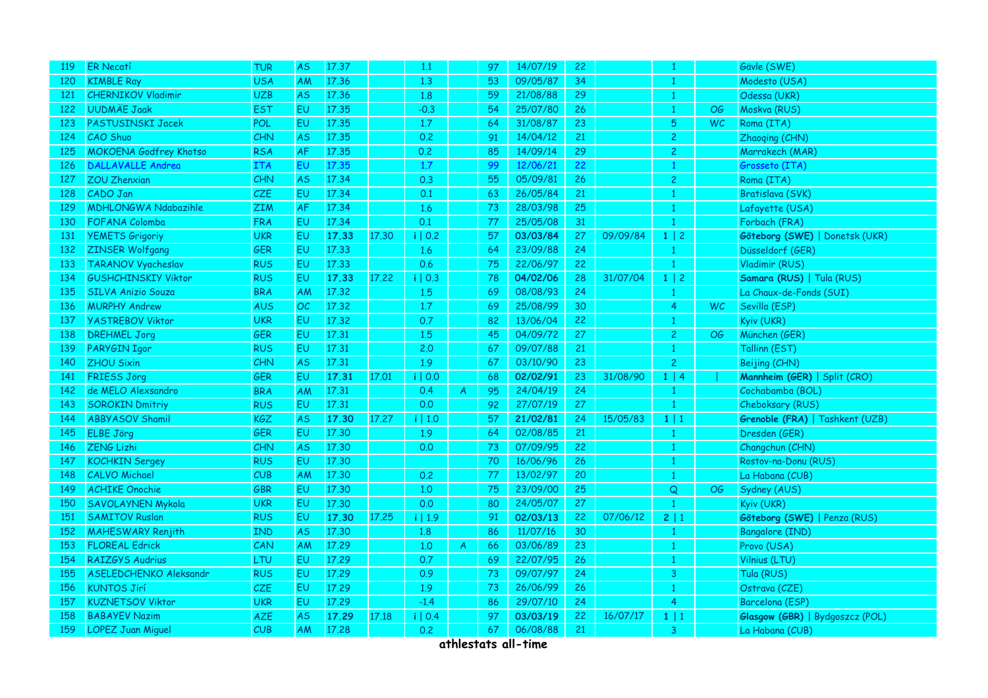| <b>ER Necatí</b>              | <b>TUR</b>            | AS.       | 17.37 | 1.1                                                |               | 97 | 14/07/19 | 22 |          |                |           | Gävle (SWE)                     |
|-------------------------------|-----------------------|-----------|-------|----------------------------------------------------|---------------|----|----------|----|----------|----------------|-----------|---------------------------------|
| <b>KIMBLE Ray</b>             | <b>USA</b>            | AM        | 17.36 | 1.3                                                |               | 53 | 09/05/87 | 34 |          |                |           | Modesto (USA)                   |
| <b>CHERNIKOV Vladimir</b>     | <b>UZB</b>            | <b>AS</b> | 17.36 | 1.8                                                |               | 59 | 21/08/88 | 29 |          |                |           | Odessa (UKR)                    |
| <b>UUDMÄE Jaak</b>            | <b>EST</b>            | EU        | 17.35 | $-0.3$                                             |               | 54 | 25/07/80 | 26 |          | -1             | OG        | Moskva (RUS)                    |
| PASTUSINSKI Jacek             | <b>POL</b>            | EU        | 17.35 | 1.7                                                |               | 64 | 31/08/87 | 23 |          | 5              | <b>WC</b> | Roma (ITA)                      |
| CAO Shuo                      | CHN                   | <b>AS</b> | 17.35 | 0.2                                                |               | 91 | 14/04/12 | 21 |          | $\overline{c}$ |           | Zhaoqing (CHN)                  |
| <b>MOKOENA Godfrey Khotso</b> | <b>RSA</b>            | <b>AF</b> | 17.35 | 0.2                                                |               | 85 | 14/09/14 | 29 |          | $\overline{c}$ |           | Marrakech (MAR)                 |
| <b>DALLAVALLE Andrea</b>      | <b>ITA</b>            | EU        | 17.35 | 1.7                                                |               | 99 | 12/06/21 | 22 |          | -1             |           | Grosseto (ITA)                  |
| <b>ZOU Zhenxian</b>           | CHN                   | <b>AS</b> | 17.34 | 0.3                                                |               | 55 | 05/09/81 | 26 |          | $\overline{c}$ |           | Roma (ITA)                      |
| CADO Jan                      | CZE                   | EU        | 17.34 | 0.1                                                |               | 63 | 26/05/84 | 21 |          |                |           | Bratislava (SVK)                |
| <b>MDHLONGWA Ndabazihle</b>   | <b>ZIM</b>            | <b>AF</b> | 17.34 | 1.6                                                |               | 73 | 28/03/98 | 25 |          |                |           | Lafayette (USA)                 |
| FOFANA Colomba                | <b>FRA</b>            | EU.       | 17.34 | 0.1                                                |               | 77 | 25/05/08 | 31 |          | $\overline{1}$ |           | Forbach (FRA)                   |
| <b>YEMETS Grigoriy</b>        | <b>UKR</b>            | EU        | 17.33 | i   0.2                                            |               | 57 | 03/03/84 | 27 | 09/09/84 | $1 \mid 2$     |           | Göteborg (SWE)   Donetsk (UKR)  |
| <b>ZINSER Wolfgang</b>        | GER                   | EU        | 17.33 | 1.6                                                |               | 64 | 23/09/88 | 24 |          | $\mathbf{1}$   |           | Düsseldorf (GER)                |
| <b>TARANOV Vyacheslav</b>     | <b>RUS</b>            | EU        | 17.33 | 0.6                                                |               | 75 | 22/06/97 | 22 |          |                |           | Vladimir (RUS)                  |
| <b>GUSHCHINSKIY Viktor</b>    | <b>RUS</b>            | EU        | 17.33 | i   0.3                                            |               | 78 | 04/02/06 | 28 | 31/07/04 | $1 \mid 2$     |           | Samara (RUS)   Tula (RUS)       |
| <b>SILVA Anizio Souza</b>     | <b>BRA</b>            | AM        | 17.32 | 1.5                                                |               | 69 | 08/08/93 | 24 |          | -1             |           | La Chaux-de-Fonds (SUI)         |
| <b>MURPHY Andrew</b>          | <b>AUS</b>            | OC.       | 17.32 | 1.7                                                |               | 69 | 25/08/99 | 30 |          | $\overline{4}$ | <b>WC</b> | Sevilla (ESP)                   |
| <b>YASTREBOV Viktor</b>       | <b>UKR</b>            | EU        | 17.32 | 0.7                                                |               | 82 | 13/06/04 | 22 |          | 1              |           | Kyiv (UKR)                      |
| <b>DREHMEL Jorg</b>           | GER                   | EU        | 17.31 | 1.5                                                |               | 45 | 04/09/72 | 27 |          | $\overline{2}$ | OG        | München (GER)                   |
| PARYGIN Igor                  | <b>RUS</b>            | EU        | 17.31 | 2.0                                                |               | 67 | 09/07/88 | 21 |          |                |           | Tallinn (EST)                   |
| <b>ZHOU Sixin</b>             | <b>CHN</b>            | AS.       | 17.31 | 1.9                                                |               | 67 | 03/10/90 | 23 |          | $\overline{2}$ |           | Beijing (CHN)                   |
| <b>FRIESS Jörg</b>            | GER                   | EU        | 17.31 | i   0.0                                            |               | 68 | 02/02/91 | 23 | 31/08/90 | $1 \mid 4$     |           | Mannheim (GER)   Split (CRO)    |
| de MELO Alexsandro            | <b>BRA</b>            | AM        | 17.31 | 0.4                                                | A             | 95 | 24/04/19 | 24 |          | 1              |           | Cochabamba (BOL)                |
| <b>SOROKIN Dmitriy</b>        | <b>RUS</b>            | EU        | 17.31 | 0.0                                                |               | 92 | 27/07/19 | 27 |          |                |           | Cheboksary (RUS)                |
| <b>ABBYASOV Shamil</b>        | KGZ                   | AS        | 17.30 | i   1.0                                            |               | 57 | 21/02/81 | 24 | 15/05/83 | 1 1            |           | Grenoble (FRA)   Tashkent (UZB) |
| <b>ELBE Jörg</b>              | <b>GER</b>            | EU        | 17.30 | 1.9                                                |               | 64 | 02/08/85 | 21 |          | -1             |           | Dresden (GER)                   |
| <b>ZENG Lizhi</b>             | CHN                   | <b>AS</b> | 17.30 | 0.0                                                |               | 73 | 07/09/95 | 22 |          |                |           | Changchun (CHN)                 |
| <b>KOCHKIN Sergey</b>         | <b>RUS</b>            | EU        | 17.30 |                                                    |               | 70 | 16/06/96 | 26 |          |                |           | Rostov-na-Donu (RUS)            |
| <b>CALVO Michael</b>          | CUB                   | AM        | 17.30 | 0.2                                                |               | 77 | 13/02/97 | 20 |          |                |           | La Habana (CUB)                 |
| <b>ACHIKE Onochie</b>         | GBR                   | EU        | 17.30 | 1.0                                                |               | 75 | 23/09/00 | 25 |          | Q              | OG        | Sydney (AUS)                    |
| <b>SAVOLAYNEN Mykola</b>      | <b>UKR</b>            | EU.       | 17.30 | 0.0                                                |               | 80 | 24/05/07 | 27 |          |                |           | Kyiv (UKR)                      |
| <b>SAMITOV Ruslan</b>         | <b>RUS</b>            | EU        | 17.30 | i   1.9                                            |               | 91 | 02/03/13 | 22 | 07/06/12 | 2 1            |           | Göteborg (SWE)   Penza (RUS)    |
| <b>MAHESWARY Renjith</b>      | <b>IND</b>            | <b>AS</b> | 17.30 | 1.8                                                |               | 86 | 11/07/16 | 30 |          | $\mathbf{1}$   |           | <b>Bangalore (IND)</b>          |
|                               | CAN                   | AM        | 17.29 | 1,0                                                | $\mathcal{A}$ | 66 | 03/06/89 | 23 |          |                |           | Provo (USA)                     |
| <b>RAIZGYS Audrius</b>        | <b>LTU</b>            | EU.       | 17.29 | 0.7                                                |               | 69 | 22/07/95 | 26 |          | -1             |           | Vilnius (LTU)                   |
| <b>ASELEDCHENKO Aleksandr</b> | <b>RUS</b>            | EU        | 17.29 | 0.9                                                |               | 73 | 09/07/97 | 24 |          | 3              |           | Tula (RUS)                      |
| <b>KUNTOS Jirí</b>            | CZE                   | EU        | 17.29 | 1.9                                                |               | 73 | 26/06/99 | 26 |          |                |           | Ostrava (CZE)                   |
| <b>KUZNETSOV Viktor</b>       | <b>UKR</b>            | EU        | 17.29 | $-1.4$                                             |               | 86 | 29/07/10 | 24 |          | $\overline{4}$ |           | Barcelona (ESP)                 |
| <b>BABAYEV Nazim</b>          | AZE                   | <b>AS</b> | 17.29 | i   0.4                                            |               | 97 | 03/03/19 | 22 | 16/07/17 | $1 \mid 1$     |           | Glasgow (GBR)   Bydgoszcz (POL) |
| <b>LOPEZ Juan Miguel</b>      | CUB                   | AM        | 17.28 | 0.2                                                |               | 67 | 06/08/88 | 21 |          | 3              |           | La Habana (CUB)                 |
|                               | <b>FLOREAL Edrick</b> |           |       | 17.30<br>17.22<br>17.01<br>17.27<br>17.25<br>17.18 |               |    |          |    |          |                |           |                                 |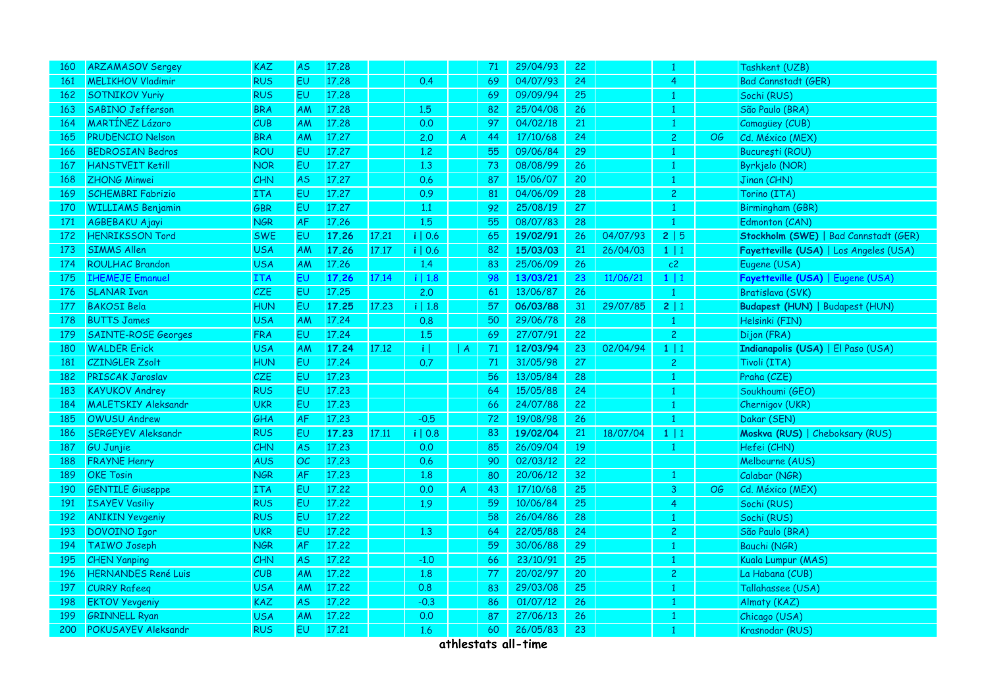| 160 | <b>ARZAMASOV Sergey</b>    | <b>KAZ</b> | AS.       | 17.28 |       |         |              | 71 | 29/04/93 | 22 |          |                |    | Tashkent (UZB)                         |
|-----|----------------------------|------------|-----------|-------|-------|---------|--------------|----|----------|----|----------|----------------|----|----------------------------------------|
| 161 | <b>MELIKHOV Vladimir</b>   | <b>RUS</b> | EU.       | 17.28 |       | 0.4     |              | 69 | 04/07/93 | 24 |          | $\overline{4}$ |    | <b>Bad Cannstadt (GER)</b>             |
| 162 | <b>SOTNIKOV Yuriy</b>      | <b>RUS</b> | EU        | 17.28 |       |         |              | 69 | 09/09/94 | 25 |          | -1             |    | Sochi (RUS)                            |
| 163 | SABINO Jefferson           | <b>BRA</b> | AM        | 17.28 |       | 1.5     |              | 82 | 25/04/08 | 26 |          |                |    | São Paulo (BRA)                        |
| 164 | <b>MARTÍNEZ Lázaro</b>     | CUB        | AM        | 17.28 |       | 0.0     |              | 97 | 04/02/18 | 21 |          | 1              |    | Camagüey (CUB)                         |
| 165 | PRUDENCIO Nelson           | <b>BRA</b> | AM        | 17.27 |       | 2.0     | A            | 44 | 17/10/68 | 24 |          | $\overline{2}$ | OG | Cd. México (MEX)                       |
| 166 | <b>BEDROSIAN Bedros</b>    | <b>ROU</b> | EU.       | 17.27 |       | 1,2     |              | 55 | 09/06/84 | 29 |          |                |    | București (ROU)                        |
| 167 | <b>HANSTVEIT Ketill</b>    | <b>NOR</b> | EU        | 17.27 |       | 1.3     |              | 73 | 08/08/99 | 26 |          | -1             |    | Byrkjelo (NOR)                         |
| 168 | <b>ZHONG Minwei</b>        | CHN        | <b>AS</b> | 17.27 |       | 0.6     |              | 87 | 15/06/07 | 20 |          | -1             |    | Jinan (CHN)                            |
| 169 | <b>SCHEMBRI Fabrizio</b>   | <b>ITA</b> | EU        | 17.27 |       | 0.9     |              | 81 | 04/06/09 | 28 |          | $\overline{c}$ |    | Torino (ITA)                           |
| 170 | <b>WILLIAMS Benjamin</b>   | <b>GBR</b> | EU.       | 17.27 |       | 1.1     |              | 92 | 25/08/19 | 27 |          |                |    | Birmingham (GBR)                       |
| 171 | AGBEBAKU Ajayi             | <b>NGR</b> | AF        | 17.26 |       | 1.5     |              | 55 | 08/07/83 | 28 |          | -1             |    | Edmonton (CAN)                         |
| 172 | <b>HENRIKSSON Tord</b>     | <b>SWE</b> | EU        | 17.26 | 17.21 | i   0.6 |              | 65 | 19/02/91 | 26 | 04/07/93 | 2   5          |    | Stockholm (SWE)   Bad Cannstadt (GER)  |
| 173 | <b>SIMMS Allen</b>         | <b>USA</b> | AM        | 17.26 | 17.17 | i   0.6 |              | 82 | 15/03/03 | 21 | 26/04/03 | $1 \mid 1$     |    | Fayetteville (USA)   Los Angeles (USA) |
| 174 | <b>ROULHAC Brandon</b>     | <b>USA</b> | AM        | 17.26 |       | 1.4     |              | 83 | 25/06/09 | 26 |          | c2             |    | Eugene (USA)                           |
| 175 | <b>IHEMEJE Emanuel</b>     | <b>ITA</b> | EU.       | 17.26 | 17.14 | i   1.8 |              | 98 | 13/03/21 | 23 | 11/06/21 | $1 \mid 1$     |    | Fayetteville (USA)   Eugene (USA)      |
| 176 | <b>SLANAR Ivan</b>         | CZE        | <b>EU</b> | 17.25 |       | 2.0     |              | 61 | 13/06/87 | 26 |          |                |    | Bratislava (SVK)                       |
| 177 | <b>BAKOSI Bela</b>         | <b>HUN</b> | EU        | 17.25 | 17.23 | i   1.8 |              | 57 | 06/03/88 | 31 | 29/07/85 | 2   1          |    | Budapest (HUN)   Budapest (HUN)        |
| 178 | <b>BUTTS James</b>         | <b>USA</b> | AM        | 17.24 |       | 0.8     |              | 50 | 29/06/78 | 28 |          | -1             |    | Helsinki (FIN)                         |
| 179 | <b>SAINTE-ROSE Georges</b> | <b>FRA</b> | EU        | 17.24 |       | 1.5     |              | 69 | 27/07/91 | 22 |          | $\overline{2}$ |    | Dijon (FRA)                            |
| 180 | <b>WALDER Erick</b>        | <b>USA</b> | AM        | 17.24 | 17.12 | ΠĪ      | A            | 71 | 12/03/94 | 23 | 02/04/94 | 1 1            |    | Indianapolis (USA)   El Paso (USA)     |
| 181 | <b>CZINGLER Zsolt</b>      | <b>HUN</b> | EU        | 17.24 |       | 0.7     |              | 71 | 31/05/98 | 27 |          | $\overline{2}$ |    | Tivoli (ITA)                           |
| 182 | PRISCAK Jaroslav           | CZE        | EU        | 17.23 |       |         |              | 56 | 13/05/84 | 28 |          | $\mathbf{1}$   |    | Praha (CZE)                            |
| 183 | <b>KAYUKOV Andrey</b>      | <b>RUS</b> | EU        | 17.23 |       |         |              | 64 | 15/05/88 | 24 |          |                |    | Soukhoumi (GEO)                        |
| 184 | <b>MALETSKIY Aleksandr</b> | <b>UKR</b> | EU.       | 17.23 |       |         |              | 66 | 24/07/88 | 22 |          |                |    | Chernigov (UKR)                        |
| 185 | <b>OWUSU Andrew</b>        | GHA        | AF        | 17.23 |       | $-0.5$  |              | 72 | 19/08/98 | 26 |          | -1             |    | Dakar (SEN)                            |
| 186 | <b>SERGEYEV Aleksandr</b>  | <b>RUS</b> | EU        | 17.23 | 17.11 | i   0.8 |              | 83 | 19/02/04 | 21 | 18/07/04 | $1 \mid 1$     |    | Moskva (RUS)   Cheboksary (RUS)        |
| 187 | <b>GU Junjie</b>           | <b>CHN</b> | <b>AS</b> | 17.23 |       | 0.0     |              | 85 | 26/09/04 | 19 |          |                |    | Hefei (CHN)                            |
| 188 | <b>FRAYNE Henry</b>        | <b>AUS</b> | OC        | 17.23 |       | 0.6     |              | 90 | 02/03/12 | 22 |          |                |    | Melbourne (AUS)                        |
| 189 | <b>OKE Tosin</b>           | <b>NGR</b> | <b>AF</b> | 17.23 |       | 1.8     |              | 80 | 20/06/12 | 32 |          |                |    | Calabar (NGR)                          |
| 190 | <b>GENTILE Giuseppe</b>    | <b>ITA</b> | EU        | 17.22 |       | 0.0     | $\mathsf{A}$ | 43 | 17/10/68 | 25 |          | 3              | OG | Cd. México (MEX)                       |
| 191 | <b>ISAYEV Vasiliy</b>      | <b>RUS</b> | EU        | 17.22 |       | 1.9     |              | 59 | 10/06/84 | 25 |          | 4              |    | Sochi (RUS)                            |
| 192 | <b>ANIKIN Yevgeniy</b>     | <b>RUS</b> | EU        | 17.22 |       |         |              | 58 | 26/04/86 | 28 |          |                |    | Sochi (RUS)                            |
| 193 | <b>DOVOINO Igor</b>        | <b>UKR</b> | EU.       | 17.22 |       | 1.3     |              | 64 | 22/05/88 | 24 |          | $\overline{2}$ |    | São Paulo (BRA)                        |
| 194 | <b>TAIWO Joseph</b>        | <b>NGR</b> | AF        | 17.22 |       |         |              | 59 | 30/06/88 | 29 |          |                |    | Bauchi (NGR)                           |
| 195 | <b>CHEN Yanping</b>        | CHN        | AS.       | 17.22 |       | $-1.0$  |              | 66 | 23/10/91 | 25 |          | -1             |    | Kuala Lumpur (MAS)                     |
| 196 | <b>HERNANDES René Luis</b> | CUB        | AM        | 17.22 |       | 1.8     |              | 77 | 20/02/97 | 20 |          | $\overline{c}$ |    | La Habana (CUB)                        |
| 197 | <b>CURRY Rafeeq</b>        | <b>USA</b> | AM        | 17.22 |       | 0.8     |              | 83 | 29/03/08 | 25 |          |                |    | Tallahassee (USA)                      |
| 198 | <b>EKTOV Yevgeniy</b>      | <b>KAZ</b> | AS.       | 17.22 |       | $-0.3$  |              | 86 | 01/07/12 | 26 |          | 1              |    | Almaty (KAZ)                           |
| 199 | <b>GRINNELL Ryan</b>       | <b>USA</b> | AM        | 17.22 |       | 0.0     |              | 87 | 27/06/13 | 26 |          |                |    | Chicago (USA)                          |
| 200 | POKUSAYEV Aleksandr        | <b>RUS</b> | EU        | 17.21 |       | 1.6     |              | 60 | 26/05/83 | 23 |          |                |    | Krasnodar (RUS)                        |
|     |                            |            |           |       |       |         |              |    |          |    |          |                |    |                                        |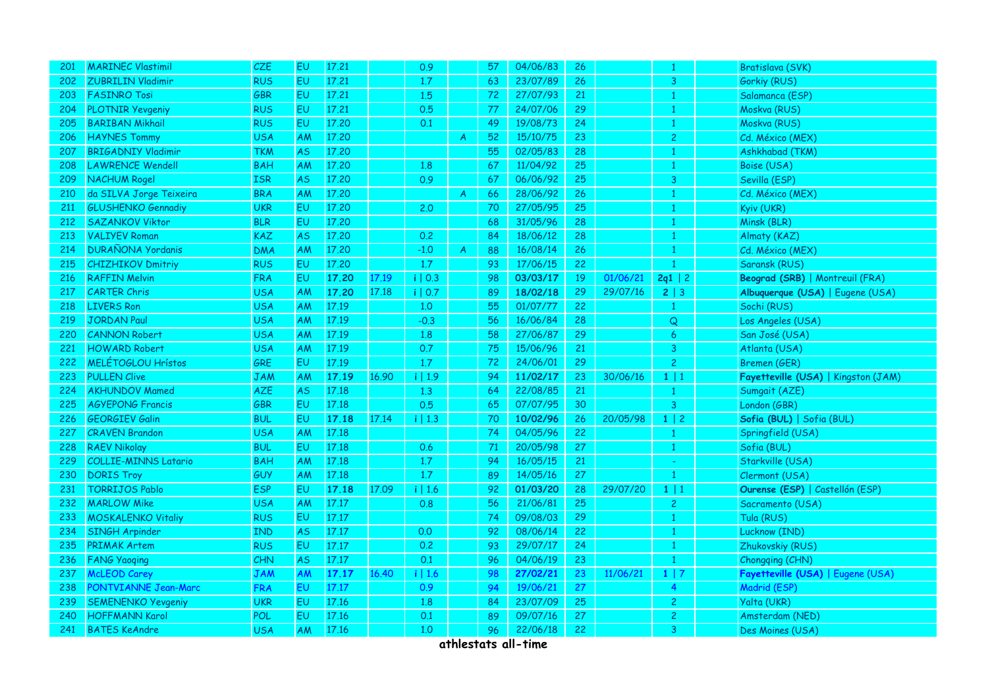| <b>201</b> | <b>MARINEC Vlastimil</b>    | CZE        | EV.            | 17.21 |       | 0.9          |   | 57 | 04/06/83 | 26 |          |                | Bratislava (SVK)                    |
|------------|-----------------------------|------------|----------------|-------|-------|--------------|---|----|----------|----|----------|----------------|-------------------------------------|
| 202        | <b>ZUBRILIN Vladimir</b>    | <b>RUS</b> | <b>EU</b>      | 17.21 |       | 1.7          |   | 63 | 23/07/89 | 26 |          | 3              | Gorkiy (RUS)                        |
| 203        | <b>FASINRO Tosi</b>         | GBR        | EU             | 17.21 |       | 1.5          |   | 72 | 27/07/93 | 21 |          | -1             | Salamanca (ESP)                     |
| 204        | PLOTNIR Yevgeniy            | <b>RUS</b> | EU             | 17.21 |       | 0.5          |   | 77 | 24/07/06 | 29 |          |                | Moskva (RUS)                        |
| 205        | <b>BARIBAN Mikhail</b>      | <b>RUS</b> | EU.            | 17.20 |       | 0.1          |   | 49 | 19/08/73 | 24 |          | -1             | Moskva (RUS)                        |
| 206        | <b>HAYNES Tommy</b>         | <b>USA</b> | AM             | 17.20 |       |              | A | 52 | 15/10/75 | 23 |          | $\overline{c}$ | Cd. México (MEX)                    |
| 207        | <b>BRIGADNIY Vladimir</b>   | TKM        | AS             | 17.20 |       |              |   | 55 | 02/05/83 | 28 |          |                | Ashkhabad (TKM)                     |
| 208        | <b>LAWRENCE Wendell</b>     | <b>BAH</b> | AM             | 17.20 |       | 1.8          |   | 67 | 11/04/92 | 25 |          | $\mathbf{1}$   | Boise (USA)                         |
| 209        | <b>NACHUM Rogel</b>         | <b>ISR</b> | AS             | 17.20 |       | 0.9          |   | 67 | 06/06/92 | 25 |          | 3              | Sevilla (ESP)                       |
| 210        | da SILVA Jorge Teixeira     | <b>BRA</b> | AM             | 17.20 |       |              | A | 66 | 28/06/92 | 26 |          | -1             | Cd. México (MEX)                    |
| 211        | <b>GLUSHENKO Gennadiy</b>   | <b>UKR</b> | EU.            | 17.20 |       | 2,0          |   | 70 | 27/05/95 | 25 |          | $\overline{1}$ | Kyiv (UKR)                          |
| 212        | <b>SAZANKOV Viktor</b>      | <b>BLR</b> | EU             | 17.20 |       |              |   | 68 | 31/05/96 | 28 |          |                | Minsk (BLR)                         |
| 213        | <b>VALIYEV Roman</b>        | KAZ        | <b>AS</b>      | 17.20 |       | 0.2          |   | 84 | 18/06/12 | 28 |          |                | Almaty (KAZ)                        |
| 214        | <b>DURAÑONA Yordanis</b>    | <b>DMA</b> | AM             | 17.20 |       | $-1.0$       | A | 88 | 16/08/14 | 26 |          |                | Cd. México (MEX)                    |
| 215        | <b>CHIZHIKOV Dmitriy</b>    | <b>RUS</b> | EU.            | 17.20 |       | 1.7          |   | 93 | 17/06/15 | 22 |          |                | Saransk (RUS)                       |
| 216        | <b>RAFFIN Melvin</b>        | <b>FRA</b> | EU.            | 17.20 | 17.19 | $i \mid 0.3$ |   | 98 | 03/03/17 | 19 | 01/06/21 | 2q1   2        | Beograd (SRB)   Montreuil (FRA)     |
| 217        | <b>CARTER Chris</b>         | <b>USA</b> | <b>AM</b>      | 17.20 | 17.18 | i   0.7      |   | 89 | 18/02/18 | 29 | 29/07/16 | 2   3          | Albuquerque (USA)   Eugene (USA)    |
| 218        | <b>LIVERS Ron</b>           | <b>USA</b> | AM             | 17.19 |       | 1.0          |   | 55 | 01/07/77 | 22 |          | $\mathbf{1}$   | Sochi (RUS)                         |
| 219        | <b>JORDAN Paul</b>          | <b>USA</b> | AM             | 17.19 |       | $-0.3$       |   | 56 | 16/06/84 | 28 |          | Q              | Los Angeles (USA)                   |
| 220        | <b>CANNON Robert</b>        | <b>USA</b> | AM             | 17.19 |       | 1.8          |   | 58 | 27/06/87 | 29 |          | 6              | San José (USA)                      |
| 221        | <b>HOWARD Robert</b>        | <b>USA</b> | AM             | 17.19 |       | 0.7          |   | 75 | 15/06/96 | 21 |          | 3              | Atlanta (USA)                       |
| 222        | MELÉTOGLOU Hrístos          | GRE        | E <sub>U</sub> | 17.19 |       | 1.7          |   | 72 | 24/06/01 | 29 |          | $\overline{2}$ | Bremen (GER)                        |
| 223        | <b>PULLEN Clive</b>         | <b>JAM</b> | AM             | 17.19 | 16.90 | i   1.9      |   | 94 | 11/02/17 | 23 | 30/06/16 | $1 \mid 1$     | Fayetteville (USA)   Kingston (JAM) |
| 224        | <b>AKHUNDOV Mamed</b>       | AZE        | AS             | 17.18 |       | 1.3          |   | 64 | 22/08/85 | 21 |          | $\mathbf{1}$   | Sumgait (AZE)                       |
| 225        | <b>AGYEPONG Francis</b>     | GBR        | EU.            | 17.18 |       | 0.5          |   | 65 | 07/07/95 | 30 |          | $\mathbf{3}$   | London (GBR)                        |
| 226        | <b>GEORGIEV Galin</b>       | <b>BUL</b> | EU             | 17.18 | 17.14 | i   1.3      |   | 70 | 10/02/96 | 26 | 20/05/98 | $1 \mid 2$     | Sofia (BUL)   Sofia (BUL)           |
| 227        | <b>CRAVEN Brandon</b>       | USA        | AM             | 17.18 |       |              |   | 74 | 04/05/96 | 22 |          |                | Springfield (USA)                   |
| 228        | <b>RAEV Nikolay</b>         | <b>BUL</b> | EU.            | 17.18 |       | 0.6          |   | 71 | 20/05/98 | 27 |          | $\mathbf{1}$   | Sofia (BUL)                         |
| 229        | <b>COLLIE-MINNS Latario</b> | <b>BAH</b> | AM             | 17.18 |       | 1.7          |   | 94 | 16/05/15 | 21 |          |                | Starkville (USA)                    |
| 230        | <b>DORIS Troy</b>           | GUY        | AM             | 17.18 |       | 1.7          |   | 89 | 14/05/16 | 27 |          |                | Clermont (USA)                      |
| 231        | <b>TORRIJOS Pablo</b>       | <b>ESP</b> | EU             | 17.18 | 17.09 | i   1.6      |   | 92 | 01/03/20 | 28 | 29/07/20 | $1 \mid 1$     | Ourense (ESP)   Castellón (ESP)     |
| 232        | <b>MARLOW Mike</b>          | <b>USA</b> | AM             | 17.17 |       | 0.8          |   | 56 | 21/06/81 | 25 |          | $\overline{2}$ | Sacramento (USA)                    |
| 233        | <b>MOSKALENKO Vitaliy</b>   | <b>RUS</b> | EU             | 17.17 |       |              |   | 74 | 09/08/03 | 29 |          | -1             | Tula (RUS)                          |
| 234        | <b>SINGH Arpinder</b>       | <b>IND</b> | <b>AS</b>      | 17.17 |       | 0.0          |   | 92 | 08/06/14 | 22 |          |                | Lucknow (IND)                       |
| 235        | <b>PRIMAK Artem</b>         | <b>RUS</b> | EU             | 17.17 |       | 0.2          |   | 93 | 29/07/17 | 24 |          |                | Zhukovskiy (RUS)                    |
| 236        | <b>FANG Yaoqing</b>         | CHN        | <b>AS</b>      | 17.17 |       | 0.1          |   | 96 | 04/06/19 | 23 |          |                | Chongqing (CHN)                     |
| 237        | <b>McLEOD Carey</b>         | <b>JAM</b> | AM             | 17.17 | 16.40 | i   1.6      |   | 98 | 27/02/21 | 23 | 11/06/21 | $1 \mid 7$     | Fayetteville (USA)   Eugene (USA)   |
| 238        | PONTVIANNE Jean-Marc        | <b>FRA</b> | EU.            | 17.17 |       | 0.9          |   | 94 | 19/06/21 | 27 |          | 4              | Madrid (ESP)                        |
| 239        | <b>SEMENENKO Yevgeniy</b>   | UKR        | EU.            | 17.16 |       | 1.8          |   | 84 | 23/07/09 | 25 |          | $\mathbf{2}$   | Yalta (UKR)                         |
| 240        | <b>HOFFMANN Karol</b>       | POL        | EU             | 17.16 |       | 0.1          |   | 89 | 09/07/16 | 27 |          | $\overline{c}$ | Amsterdam (NED)                     |
| 241        | <b>BATES KeAndre</b>        | <b>USA</b> | AM             | 17.16 |       | 1,0          |   | 96 | 22/06/18 | 22 |          | 3              | Des Moines (USA)                    |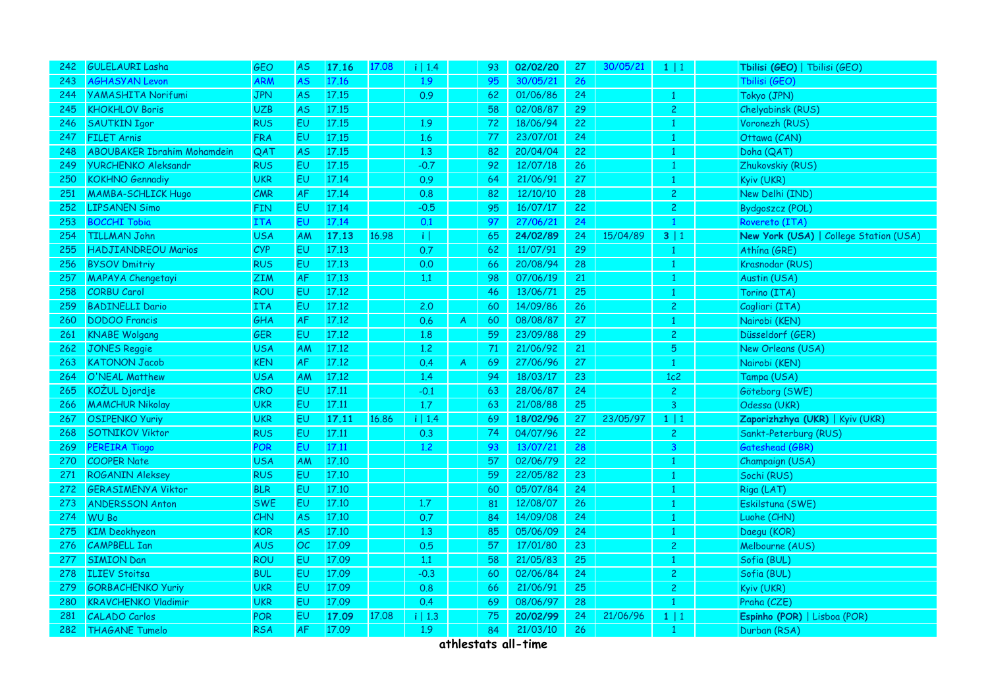| 242 | <b>GULELAURI Lasha</b>             | GEO        | AS        | 17.16 | 17.08 | i   1.4           |              | 93 | 02/02/20 | 27 | 30/05/21 | $1 \mid 1$     | Tbilisi (GEO)   Tbilisi (GEO)          |
|-----|------------------------------------|------------|-----------|-------|-------|-------------------|--------------|----|----------|----|----------|----------------|----------------------------------------|
| 243 | <b>AGHASYAN Levon</b>              | ARM        | AS        | 17.16 |       | 1.9               |              | 95 | 30/05/21 | 26 |          |                | Tbilisi (GEO)                          |
| 244 | <b>YAMASHITA Norifumi</b>          | <b>JPN</b> | AS        | 17.15 |       | 0.9               |              | 62 | 01/06/86 | 24 |          | -1             | Tokyo (JPN)                            |
| 245 | <b>KHOKHLOV Boris</b>              | <b>UZB</b> | AS        | 17.15 |       |                   |              | 58 | 02/08/87 | 29 |          | $\overline{2}$ | Chelyabinsk (RUS)                      |
| 246 | <b>SAUTKIN Igor</b>                | <b>RUS</b> | EU        | 17.15 |       | 1.9               |              | 72 | 18/06/94 | 22 |          |                | Voronezh (RUS)                         |
| 247 | <b>FILET Arnis</b>                 | <b>FRA</b> | EU        | 17.15 |       | 1.6               |              | 77 | 23/07/01 | 24 |          |                | Ottawa (CAN)                           |
| 248 | <b>ABOUBAKER Ibrahim Mohamdein</b> | QAT        | <b>AS</b> | 17.15 |       | 1,3               |              | 82 | 20/04/04 | 22 |          |                | Doha (QAT)                             |
| 249 | <b>YURCHENKO Aleksandr</b>         | <b>RUS</b> | EU        | 17.15 |       | $-0.7$            |              | 92 | 12/07/18 | 26 |          |                | Zhukovskiy (RUS)                       |
| 250 | <b>KOKHNO</b> Gennadiy             | <b>UKR</b> | EU        | 17.14 |       | 0.9               |              | 64 | 21/06/91 | 27 |          | -1             | Kyiv (UKR)                             |
| 251 | <b>MAMBA-SCHLICK Hugo</b>          | CMR        | <b>AF</b> | 17.14 |       | 0.8               |              | 82 | 12/10/10 | 28 |          | $\overline{2}$ | New Delhi (IND)                        |
| 252 | <b>LIPSANEN Simo</b>               | <b>FIN</b> | EU        | 17.14 |       | $-0.5$            |              | 95 | 16/07/17 | 22 |          | $\overline{c}$ | Bydgoszcz (POL)                        |
| 253 | <b>BOCCHI Tobia</b>                | <b>ITA</b> | EU.       | 17.14 |       | 0.1               |              | 97 | 27/06/21 | 24 |          | $\mathbf{1}$   | Rovereto (ITA)                         |
| 254 | <b>TILLMAN John</b>                | <b>USA</b> | <b>AM</b> | 17.13 | 16.98 | $\lceil i \rceil$ |              | 65 | 24/02/89 | 24 | 15/04/89 | 3 1            | New York (USA)   College Station (USA) |
| 255 | <b>HADJIANDREOU Marios</b>         | CYP        | EU        | 17.13 |       | 0.7               |              | 62 | 11/07/91 | 29 |          | $\mathbf{1}$   | Athína (GRE)                           |
| 256 | <b>BYSOV Dmitriy</b>               | <b>RUS</b> | EU        | 17.13 |       | 0.0               |              | 66 | 20/08/94 | 28 |          |                | Krasnodar (RUS)                        |
| 257 | MAPAYA Chengetayi                  | <b>ZIM</b> | AF        | 17.13 |       | 1.1               |              | 98 | 07/06/19 | 21 |          |                | Austin (USA)                           |
| 258 | <b>CORBU Carol</b>                 | <b>ROU</b> | EU        | 17.12 |       |                   |              | 46 | 13/06/71 | 25 |          | -1             | Torino (ITA)                           |
| 259 | <b>BADINELLI Dario</b>             | <b>ITA</b> | EU        | 17.12 |       | 2,0               |              | 60 | 14/09/86 | 26 |          | $\overline{c}$ | Cagliari (ITA)                         |
| 260 | <b>DODOO</b> Francis               | GHA        | AF        | 17.12 |       | 0.6               | $\mathsf{A}$ | 60 | 08/08/87 | 27 |          | -1             | Nairobi (KEN)                          |
| 261 | <b>KNABE Wolgang</b>               | GER        | EU        | 17.12 |       | 1.8               |              | 59 | 23/09/88 | 29 |          | $\overline{c}$ | Düsseldorf (GER)                       |
| 262 | <b>JONES Reggie</b>                | USA        | <b>AM</b> | 17.12 |       | 1,2               |              | 71 | 21/06/92 | 21 |          | $\overline{5}$ | New Orleans (USA)                      |
| 263 | <b>KATONON Jacob</b>               | <b>KEN</b> | <b>AF</b> | 17.12 |       | 0.4               | A            | 69 | 27/06/96 | 27 |          | $\mathbf{1}$   | Nairobi (KEN)                          |
| 264 | O'NEAL Matthew                     | <b>USA</b> | <b>AM</b> | 17.12 |       | 1.4               |              | 94 | 18/03/17 | 23 |          | 1c2            | Tampa (USA)                            |
| 265 | KOŽUL Djordje                      | <b>CRO</b> | <b>EU</b> | 17.11 |       | $-0.1$            |              | 63 | 28/06/87 | 24 |          | $\overline{c}$ | Göteborg (SWE)                         |
| 266 | <b>MAMCHUR Nikolay</b>             | <b>UKR</b> | EU        | 17.11 |       | 1.7               |              | 63 | 21/08/88 | 25 |          | 3              | Odessa (UKR)                           |
| 267 | <b>OSIPENKO Yuriy</b>              | <b>UKR</b> | EU        | 17.11 | 16.86 | i   1.4           |              | 69 | 18/02/96 | 27 | 23/05/97 | 1 1            | Zaporizhzhya (UKR)   Kyiv (UKR)        |
| 268 | <b>SOTNIKOV Viktor</b>             | <b>RUS</b> | <b>EU</b> | 17.11 |       | 0.3               |              | 74 | 04/07/96 | 22 |          | $\mathbf{2}$   | Sankt-Peterburg (RUS)                  |
| 269 | <b>PEREIRA Tiago</b>               | <b>POR</b> | <b>EU</b> | 17.11 |       | 1.2               |              | 93 | 13/07/21 | 28 |          | $\overline{3}$ | Gateshead (GBR)                        |
| 270 | <b>COOPER Nate</b>                 | USA        | AM        | 17.10 |       |                   |              | 57 | 02/06/79 | 22 |          |                | Champaign (USA)                        |
| 271 | <b>ROGANIN Aleksey</b>             | <b>RUS</b> | <b>EU</b> | 17.10 |       |                   |              | 59 | 22/05/82 | 23 |          |                | Sochi (RUS)                            |
| 272 | <b>GERASIMENYA Viktor</b>          | <b>BLR</b> | EU        | 17.10 |       |                   |              | 60 | 05/07/84 | 24 |          |                | Riga (LAT)                             |
| 273 | <b>ANDERSSON Anton</b>             | <b>SWE</b> | EU        | 17.10 |       | 1.7               |              | 81 | 12/08/07 | 26 |          |                | Eskilstuna (SWE)                       |
| 274 | <b>WU Bo</b>                       | CHN        | <b>AS</b> | 17.10 |       | 0.7               |              | 84 | 14/09/08 | 24 |          |                | Luohe (CHN)                            |
| 275 | <b>KIM Deokhyeon</b>               | <b>KOR</b> | <b>AS</b> | 17.10 |       | 1.3               |              | 85 | 05/06/09 | 24 |          | 1              | Daegu (KOR)                            |
| 276 | <b>CAMPBELL Ian</b>                | AUS        | OC        | 17.09 |       | 0.5               |              | 57 | 17/01/80 | 23 |          | $\overline{c}$ | Melbourne (AUS)                        |
| 277 | <b>SIMION Dan</b>                  | <b>ROU</b> | EU.       | 17.09 |       | 1.1               |              | 58 | 21/05/83 | 25 |          | -1             | Sofia (BUL)                            |
| 278 | <b>ILIEV Stoitsa</b>               | <b>BUL</b> | EU        | 17.09 |       | $-0.3$            |              | 60 | 02/06/84 | 24 |          | $\overline{2}$ | Sofia (BUL)                            |
| 279 | <b>GORBACHENKO Yuriy</b>           | <b>UKR</b> | EU        | 17.09 |       | 0.8               |              | 66 | 21/06/91 | 25 |          | $\overline{2}$ | Kyiv (UKR)                             |
| 280 | <b>KRAVCHENKO Vladimir</b>         | <b>UKR</b> | EU.       | 17.09 |       | 0.4               |              | 69 | 08/06/97 | 28 |          |                | Praha (CZE)                            |
| 281 | <b>CALADO Carlos</b>               | POR        | EU        | 17.09 | 17.08 | i   1.3           |              | 75 | 20/02/99 | 24 | 21/06/96 | $1 \mid 1$     | Espinho (POR)   Lisboa (POR)           |
| 282 | <b>THAGANE Tumelo</b>              | <b>RSA</b> | <b>AF</b> | 17.09 |       | 1.9               |              | 84 | 21/03/10 | 26 |          |                | Durban (RSA)                           |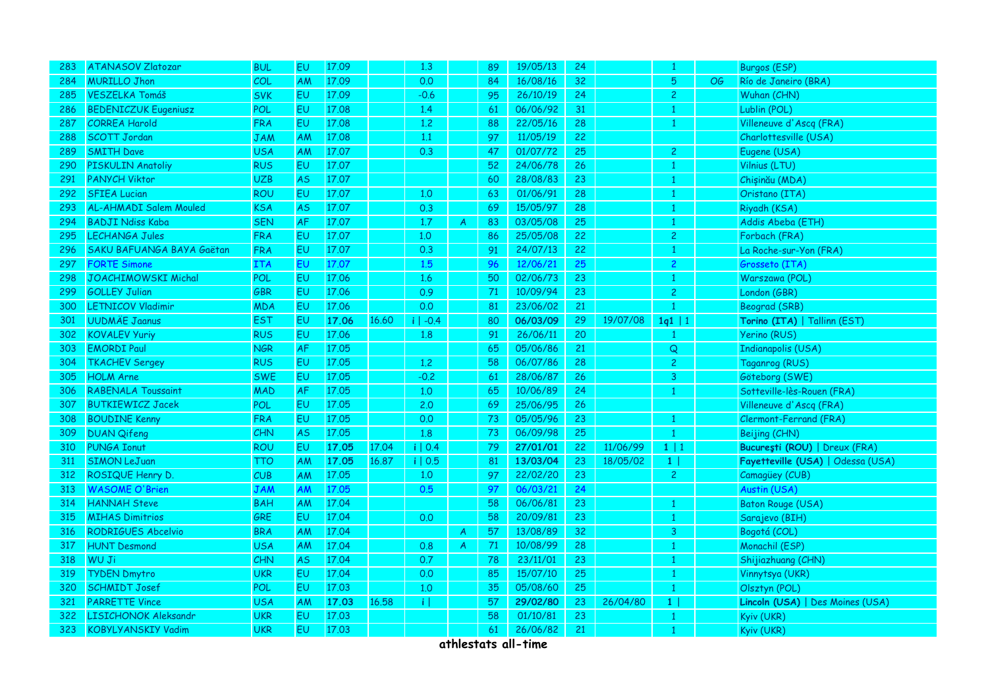| 283 | <b>ATANASOV Zlatozar</b>      | <b>BUL</b> | EU        | 17.09 |       | 1,3        |              | 89 | 19/05/13 | 24              |          |                |           | <b>Burgos (ESP)</b>               |
|-----|-------------------------------|------------|-----------|-------|-------|------------|--------------|----|----------|-----------------|----------|----------------|-----------|-----------------------------------|
| 284 | <b>MURILLO Jhon</b>           | COL        | AM        | 17.09 |       | 0.0        |              | 84 | 16/08/16 | 32              |          | 5              | <b>OG</b> | Río de Janeiro (BRA)              |
| 285 | <b>VESZELKA Tomáš</b>         | <b>SVK</b> | EU        | 17.09 |       | $-0.6$     |              | 95 | 26/10/19 | 24              |          | $\overline{2}$ |           | Wuhan (CHN)                       |
| 286 | <b>BEDENICZUK Eugeniusz</b>   | POL        | EU        | 17.08 |       | 1.4        |              | 61 | 06/06/92 | 31              |          | -1             |           | Lublin (POL)                      |
| 287 | <b>CORREA Harold</b>          | <b>FRA</b> | EU        | 17.08 |       | 1,2        |              | 88 | 22/05/16 | 28              |          |                |           | Villeneuve d'Ascq (FRA)           |
| 288 | <b>SCOTT Jordan</b>           | <b>JAM</b> | AM        | 17.08 |       | 1.1        |              | 97 | 11/05/19 | 22              |          |                |           | Charlottesville (USA)             |
| 289 | <b>SMITH Dave</b>             | <b>USA</b> | ΑM        | 17.07 |       | 0.3        |              | 47 | 01/07/72 | 25              |          | $\overline{2}$ |           | Eugene (USA)                      |
| 290 | PISKULIN Anatoliy             | <b>RUS</b> | EU        | 17.07 |       |            |              | 52 | 24/06/78 | 26              |          |                |           | Vilnius (LTU)                     |
| 291 | <b>PANYCH Viktor</b>          | <b>UZB</b> | <b>AS</b> | 17.07 |       |            |              | 60 | 28/08/83 | 23              |          | $\mathbf{1}$   |           | Chișinău (MDA)                    |
| 292 | <b>SFIEA Lucian</b>           | <b>ROU</b> | EU.       | 17.07 |       | 1.0        |              | 63 | 01/06/91 | 28              |          | -1             |           | Oristano (ITA)                    |
| 293 | <b>AL-AHMADI Salem Mouled</b> | <b>KSA</b> | <b>AS</b> | 17.07 |       | 0.3        |              | 69 | 15/05/97 | 28              |          | -1             |           | Riyadh (KSA)                      |
| 294 | <b>BADJI Ndiss Kaba</b>       | <b>SEN</b> | <b>AF</b> | 17.07 |       | 1.7        | A            | 83 | 03/05/08 | 25              |          | 1              |           | Addis Abeba (ETH)                 |
| 295 | LECHANGA Jules                | <b>FRA</b> | <b>EU</b> | 17.07 |       | 1.0        |              | 86 | 25/05/08 | 22              |          | $\overline{c}$ |           | Forbach (FRA)                     |
| 296 | SAKU BAFUANGA BAYA Gaëtan     | <b>FRA</b> | EU        | 17.07 |       | 0.3        |              | 91 | 24/07/13 | 22              |          | $\overline{1}$ |           | La Roche-sur-Yon (FRA)            |
| 297 | <b>FORTE Simone</b>           | <b>ITA</b> | EU        | 17.07 |       | 1.5        |              | 96 | 12/06/21 | 25              |          | 2              |           | Grosseto (ITA)                    |
| 298 | <b>JOACHIMOWSKI Michal</b>    | POL        | <b>EU</b> | 17.06 |       | 1.6        |              | 50 | 02/06/73 | 23              |          | -1             |           | Warszawa (POL)                    |
| 299 | <b>GOLLEY Julian</b>          | GBR        | EU        | 17.06 |       | 0.9        |              | 71 | 10/09/94 | 23              |          | $\overline{2}$ |           | London (GBR)                      |
| 300 | <b>LETNICOV Vladimir</b>      | <b>MDA</b> | EU        | 17.06 |       | 0.0        |              | 81 | 23/06/02 | 21              |          | $\overline{1}$ |           | Beograd (SRB)                     |
| 301 | <b>UUDMÄE Jaanus</b>          | <b>EST</b> | EU.       | 17.06 | 16.60 | $i$   -0.4 |              | 80 | 06/03/09 | 29              | 19/07/08 | 1q1   1        |           | Torino (ITA)   Tallinn (EST)      |
| 302 | <b>KOVALEV Yuriy</b>          | <b>RUS</b> | <b>EU</b> | 17.06 |       | 1.8        |              | 91 | 26/06/11 | 20              |          | -1             |           | <b>Yerino (RUS)</b>               |
| 303 | <b>EMORDI Paul</b>            | <b>NGR</b> | <b>AF</b> | 17.05 |       |            |              | 65 | 05/06/86 | 21              |          | Q              |           | Indianapolis (USA)                |
| 304 | <b>TKACHEV Sergey</b>         | <b>RUS</b> | EU        | 17.05 |       | 1,2        |              | 58 | 06/07/86 | 28              |          | $\mathbf{2}$   |           | Taganrog (RUS)                    |
| 305 | <b>HOLM Arne</b>              | <b>SWE</b> | EU        | 17.05 |       | $-0.2$     |              | 61 | 28/06/87 | 26              |          | 3              |           | Göteborg (SWE)                    |
| 306 | <b>RABENALA Toussaint</b>     | <b>MAD</b> | <b>AF</b> | 17.05 |       | 1,0        |              | 65 | 10/06/89 | 24              |          | -1             |           | Sotteville-lès-Rouen (FRA)        |
| 307 | <b>BUTKIEWICZ Jacek</b>       | POL        | <b>EU</b> | 17.05 |       | 2.0        |              | 69 | 25/06/95 | 26              |          |                |           | Villeneuve d'Ascq (FRA)           |
| 308 | <b>BOUDINE Kenny</b>          | <b>FRA</b> | EU        | 17.05 |       | 0.0        |              | 73 | 05/05/96 | 23              |          | -1             |           | Clermont-Ferrand (FRA)            |
| 309 | <b>DUAN Qifeng</b>            | <b>CHN</b> | AS        | 17.05 |       | 1.8        |              | 73 | 06/09/98 | 25              |          | $\mathbf{1}$   |           | Beijing (CHN)                     |
| 310 | <b>PUNGA Ionut</b>            | <b>ROU</b> | EU.       | 17.05 | 17.04 | i   0.4    |              | 79 | 27/01/01 | 22              | 11/06/99 | $1 \mid 1$     |           | București (ROU)   Dreux (FRA)     |
| 311 | <b>SIMON LeJuan</b>           | TTO        | AM        | 17.05 | 16,87 | i   0.5    |              | 81 | 13/03/04 | 23              | 18/05/02 | 1              |           | Fayetteville (USA)   Odessa (USA) |
| 312 | ROSIQUE Henry D.              | <b>CUB</b> | AM        | 17.05 |       | 1.0        |              | 97 | 22/02/20 | 23              |          | $\overline{2}$ |           | Camagüey (CUB)                    |
| 313 | <b>WASOME O'Brien</b>         | <b>JAM</b> | AM        | 17.05 |       | 0.5        |              | 97 | 06/03/21 | 24              |          |                |           | Austin (USA)                      |
| 314 | <b>HANNAH Steve</b>           | <b>BAH</b> | AM        | 17.04 |       |            |              | 58 | 06/06/81 | 23              |          | $\mathbf{1}$   |           | <b>Baton Rouge (USA)</b>          |
| 315 | <b>MIHAS Dimitrios</b>        | GRE        | EU.       | 17.04 |       | 0.0        |              | 58 | 20/09/81 | 23              |          | -1             |           | Sarajevo (BIH)                    |
| 316 | <b>RODRIGUES Abcelvio</b>     | <b>BRA</b> | AM        | 17.04 |       |            | A            | 57 | 13/08/89 | 32              |          | 3              |           | Bogotá (COL)                      |
| 317 | <b>HUNT Desmond</b>           | <b>USA</b> | AM        | 17.04 |       | 0.8        | $\mathsf{A}$ | 71 | 10/08/99 | 28              |          | $\overline{1}$ |           | Monachil (ESP)                    |
| 318 | WU Ji                         | <b>CHN</b> | AS        | 17.04 |       | 0.7        |              | 78 | 23/11/01 | 23              |          | -1             |           | Shijiazhuang (CHN)                |
| 319 | <b>TYDEN Dmytro</b>           | <b>UKR</b> | EU        | 17.04 |       | 0.0        |              | 85 | 15/07/10 | 25              |          | -1             |           | Vinnytsya (UKR)                   |
| 320 | <b>SCHMIDT Josef</b>          | POL        | EU        | 17.03 |       | 1,0        |              | 35 | 05/08/60 | 25 <sub>2</sub> |          | $\overline{1}$ |           | Olsztyn (POL)                     |
| 321 | <b>PARRETTE Vince</b>         | <b>USA</b> | AM        | 17.03 | 16.58 | πI         |              | 57 | 29/02/80 | 23              | 26/04/80 | 1              |           | Lincoln (USA)   Des Moines (USA)  |
| 322 | LISICHONOK Aleksandr          | <b>UKR</b> | EU        | 17.03 |       |            |              | 58 | 01/10/81 | 23              |          | $\mathbf{1}$   |           | Kyiv (UKR)                        |
| 323 | <b>KOBYLYANSKIY Vadim</b>     | <b>UKR</b> | EU        | 17.03 |       |            |              | 61 | 26/06/82 | 21              |          | $\mathbf{1}$   |           | Kyiv (UKR)                        |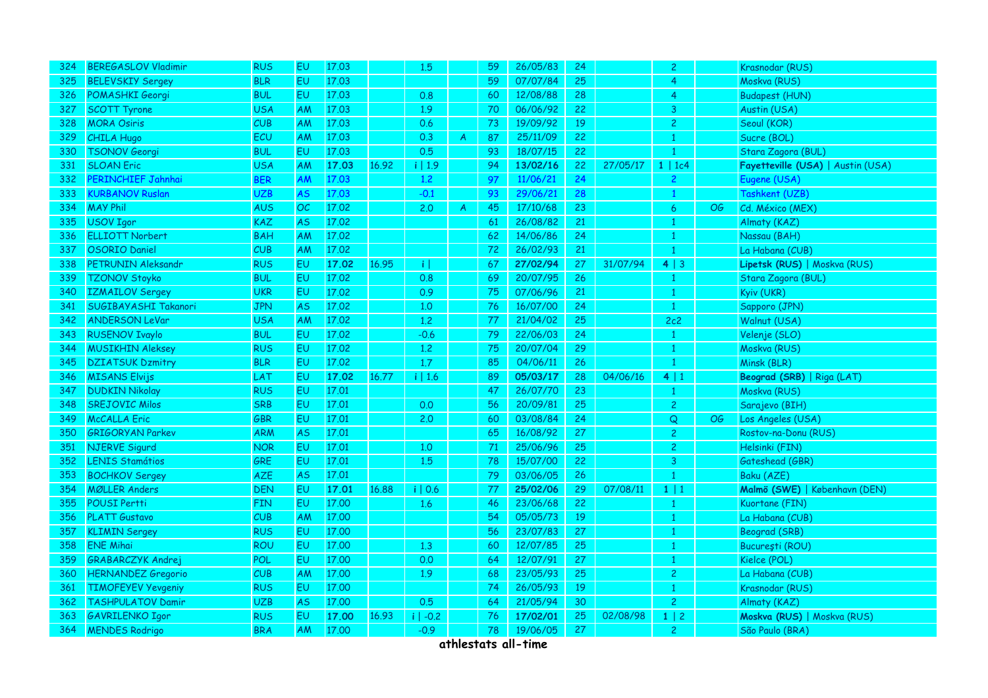| 324 | <b>BEREGASLOV Vladimir</b> | <b>RUS</b> | EU.       | 17.03 |       | 1.5           |   | 59 | 26/05/83 | 24 |          | $\overline{c}$ |    | Krasnodar (RUS)                   |
|-----|----------------------------|------------|-----------|-------|-------|---------------|---|----|----------|----|----------|----------------|----|-----------------------------------|
| 325 | <b>BELEVSKIY Sergey</b>    | <b>BLR</b> | <b>EU</b> | 17.03 |       |               |   | 59 | 07/07/84 | 25 |          | $\overline{4}$ |    | Moskva (RUS)                      |
| 326 | POMASHKI Georgi            | <b>BUL</b> | <b>EU</b> | 17.03 |       | 0.8           |   | 60 | 12/08/88 | 28 |          | 4              |    | <b>Budapest (HUN)</b>             |
| 327 | <b>SCOTT Tyrone</b>        | <b>USA</b> | AM        | 17.03 |       | 1.9           |   | 70 | 06/06/92 | 22 |          | 3              |    | Austin (USA)                      |
| 328 | <b>MORA Osiris</b>         | CUB        | <b>AM</b> | 17.03 |       | 0.6           |   | 73 | 19/09/92 | 19 |          | $\overline{2}$ |    | Seoul (KOR)                       |
| 329 | <b>CHILA Hugo</b>          | ECU        | <b>AM</b> | 17.03 |       | 0.3           | A | 87 | 25/11/09 | 22 |          |                |    | Sucre (BOL)                       |
| 330 | <b>TSONOV Georgi</b>       | <b>BUL</b> | EU        | 17.03 |       | 0.5           |   | 93 | 18/07/15 | 22 |          |                |    | Stara Zagora (BUL)                |
| 331 | <b>SLOAN Eric</b>          | <b>USA</b> | AM        | 17.03 | 16.92 | i   1.9       |   | 94 | 13/02/16 | 22 | 27/05/17 | $1 \mid 1c4$   |    | Fayetteville (USA)   Austin (USA) |
| 332 | PERINCHIEF Jahnhai         | <b>BER</b> | AM        | 17.03 |       | 1.2           |   | 97 | 11/06/21 | 24 |          | $\mathbf{2}$   |    | Eugene (USA)                      |
| 333 | <b>KURBANOV Ruslan</b>     | UZB.       | <b>AS</b> | 17.03 |       | $-0.1$        |   | 93 | 29/06/21 | 28 |          | $\mathbf{1}$   |    | Tashkent (UZB)                    |
| 334 | <b>MAY Phil</b>            | <b>AUS</b> | OC        | 17.02 |       | 2.0           | A | 45 | 17/10/68 | 23 |          | 6              | OG | Cd. México (MEX)                  |
| 335 | <b>USOV Igor</b>           | KAZ        | <b>AS</b> | 17.02 |       |               |   | 61 | 26/08/82 | 21 |          |                |    | Almaty (KAZ)                      |
| 336 | <b>ELLIOTT Norbert</b>     | <b>BAH</b> | <b>AM</b> | 17.02 |       |               |   | 62 | 14/06/86 | 24 |          |                |    | Nassau (BAH)                      |
| 337 | <b>OSORIO Daniel</b>       | CUB        | AM        | 17.02 |       |               |   | 72 | 26/02/93 | 21 |          |                |    | La Habana (CUB)                   |
| 338 | PETRUNIN Aleksandr         | <b>RUS</b> | <b>EU</b> | 17.02 | 16.95 | -i l          |   | 67 | 27/02/94 | 27 | 31/07/94 | 4   3          |    | Lipetsk (RUS)   Moskva (RUS)      |
| 339 | <b>TZONOV Stoyko</b>       | <b>BUL</b> | EU.       | 17.02 |       | 0.8           |   | 69 | 20/07/95 | 26 |          |                |    | Stara Zagora (BUL)                |
| 340 | <b>IZMAILOV Sergey</b>     | <b>UKR</b> | EU        | 17.02 |       | 0.9           |   | 75 | 07/06/96 | 21 |          | 1              |    | Kyiv (UKR)                        |
| 341 | SUGIBAYASHI Takanori       | JPN        | <b>AS</b> | 17.02 |       | 1,0           |   | 76 | 16/07/00 | 24 |          | $\overline{1}$ |    | Sapporo (JPN)                     |
| 342 | <b>ANDERSON LeVar</b>      | <b>USA</b> | AM        | 17.02 |       | 1,2           |   | 77 | 21/04/02 | 25 |          | 2c2            |    | Walnut (USA)                      |
| 343 | <b>RUSENOV Ivaylo</b>      | <b>BUL</b> | <b>EU</b> | 17.02 |       | $-0.6$        |   | 79 | 22/06/03 | 24 |          | $\mathbf{1}$   |    | Velenje (SLO)                     |
| 344 | <b>MUSIKHIN Aleksey</b>    | <b>RUS</b> | EU        | 17.02 |       | 1,2           |   | 75 | 20/07/04 | 29 |          |                |    | Moskva (RUS)                      |
| 345 | <b>DZIATSUK Dzmitry</b>    | <b>BLR</b> | EU.       | 17.02 |       | 1.7           |   | 85 | 04/06/11 | 26 |          | $\mathbf{1}$   |    | Minsk (BLR)                       |
| 346 | <b>MISANS Elvijs</b>       | LAT        | EU        | 17.02 | 16.77 | i   1.6       |   | 89 | 05/03/17 | 28 | 04/06/16 | 4   1          |    | Beograd (SRB)   Riga (LAT)        |
| 347 | <b>DUDKIN Nikolay</b>      | <b>RUS</b> | EU        | 17.01 |       |               |   | 47 | 26/07/70 | 23 |          | -1             |    | Moskva (RUS)                      |
| 348 | <b>SREJOVIC Milos</b>      | <b>SRB</b> | EU        | 17.01 |       | 0.0           |   | 56 | 20/09/81 | 25 |          | $\overline{2}$ |    | Sarajevo (BIH)                    |
| 349 | <b>McCALLA</b> Eric        | GBR        | EU        | 17.01 |       | 2.0           |   | 60 | 03/08/84 | 24 |          | Q              | OG | Los Angeles (USA)                 |
| 350 | <b>GRIGORYAN Parkev</b>    | ARM        | <b>AS</b> | 17.01 |       |               |   | 65 | 16/08/92 | 27 |          | $\mathbf{2}$   |    | Rostov-na-Donu (RUS)              |
| 351 | <b>NJERVE Sigurd</b>       | <b>NOR</b> | EU        | 17.01 |       | 1,0           |   | 71 | 25/06/96 | 25 |          | $\overline{2}$ |    | Helsinki (FIN)                    |
| 352 | <b>LENIS Stamátios</b>     | GRE        | EU        | 17.01 |       | 1.5           |   | 78 | 15/07/00 | 22 |          | $\overline{3}$ |    | Gateshead (GBR)                   |
| 353 | <b>BOCHKOV Sergey</b>      | <b>AZE</b> | <b>AS</b> | 17.01 |       |               |   | 79 | 03/06/05 | 26 |          | -1             |    | Baku (AZE)                        |
| 354 | <b>MØLLER Anders</b>       | <b>DEN</b> | EU        | 17.01 | 16,88 | $i$   0.6     |   | 77 | 25/02/06 | 29 | 07/08/11 | $1 \mid 1$     |    | Malmö (SWE)   København (DEN)     |
| 355 | <b>POUSI Pertti</b>        | FIN        | EU        | 17.00 |       | 1.6           |   | 46 | 23/06/68 | 22 |          | -1             |    | Kuortane (FIN)                    |
| 356 | <b>PLATT Gustavo</b>       | CUB        | AM        | 17.00 |       |               |   | 54 | 05/05/73 | 19 |          |                |    | La Habana (CUB)                   |
| 357 | <b>KLIMIN Sergey</b>       | <b>RUS</b> | <b>EU</b> | 17.00 |       |               |   | 56 | 23/07/83 | 27 |          | 1              |    | Beograd (SRB)                     |
| 358 | <b>ENE Mihai</b>           | <b>ROU</b> | EU        | 17.00 |       | 1.3           |   | 60 | 12/07/85 | 25 |          |                |    | București (ROU)                   |
| 359 | GRABARCZYK Andrej          | <b>POL</b> | <b>EU</b> | 17.00 |       | 0.0           |   | 64 | 12/07/91 | 27 |          | -1             |    | Kielce (POL)                      |
| 360 | <b>HERNANDEZ Gregorio</b>  | CUB        | AM        | 17.00 |       | 1.9           |   | 68 | 23/05/93 | 25 |          | $\overline{c}$ |    | La Habana (CUB)                   |
| 361 | <b>TIMOFEYEV Yevgeniy</b>  | <b>RUS</b> | EU        | 17.00 |       |               |   | 74 | 26/05/93 | 19 |          |                |    | Krasnodar (RUS)                   |
| 362 | <b>TASHPULATOV Damir</b>   | <b>UZB</b> | <b>AS</b> | 17.00 |       | 0.5           |   | 64 | 21/05/94 | 30 |          | 2 <sup>1</sup> |    | Almaty (KAZ)                      |
| 363 | <b>GAVRILENKO Igor</b>     | <b>RUS</b> | EU        | 17.00 | 16.93 | $i \mid -0.2$ |   | 76 | 17/02/01 | 25 | 02/08/98 | $1 \mid 2$     |    | Moskva (RUS)   Moskva (RUS)       |
| 364 | <b>MENDES Rodrigo</b>      | <b>BRA</b> | <b>AM</b> | 17.00 |       | $-0.9$        |   | 78 | 19/06/05 | 27 |          | $\overline{2}$ |    | São Paulo (BRA)                   |
|     |                            |            |           |       |       |               |   |    |          |    |          |                |    |                                   |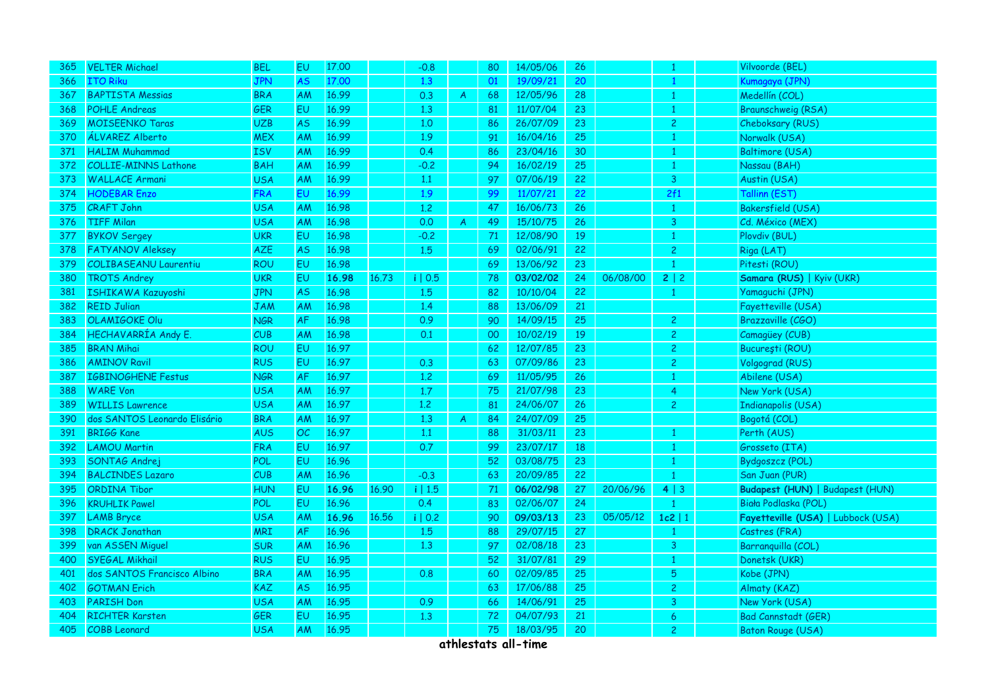| 365 | <b>VELTER Michael</b>        | <b>BEL</b> | EU        | 17.00 |       | $-0.8$    |   | 80 | 14/05/06 | 26 |          |                | Vilvoorde (BEL)                        |
|-----|------------------------------|------------|-----------|-------|-------|-----------|---|----|----------|----|----------|----------------|----------------------------------------|
| 366 | <b>ITO Riku</b>              | <b>JPN</b> | <b>AS</b> | 17.00 |       | 1,3       |   | 01 | 19/09/21 | 20 |          |                | Kumagaya (JPN)                         |
| 367 | <b>BAPTISTA Messias</b>      | <b>BRA</b> | AM        | 16.99 |       | 0.3       | A | 68 | 12/05/96 | 28 |          |                | Medellín (COL)                         |
| 368 | <b>POHLE Andreas</b>         | <b>GER</b> | EU        | 16.99 |       | 1.3       |   | 81 | 11/07/04 | 23 |          | -1             | <b>Braunschweig (RSA)</b>              |
| 369 | <b>MOISEENKO Taras</b>       | <b>UZB</b> | AS.       | 16.99 |       | 1.0       |   | 86 | 26/07/09 | 23 |          | $\overline{2}$ | Cheboksary (RUS)                       |
| 370 | ÁLVAREZ Alberto              | <b>MEX</b> | AM        | 16.99 |       | 1.9       |   | 91 | 16/04/16 | 25 |          |                | Norwalk (USA)                          |
| 371 | <b>HALIM Muhammad</b>        | <b>ISV</b> | AM        | 16.99 |       | 0.4       |   | 86 | 23/04/16 | 30 |          |                | <b>Baltimore (USA)</b>                 |
| 372 | <b>COLLIE-MINNS Lathone</b>  | <b>BAH</b> | AM        | 16.99 |       | $-0.2$    |   | 94 | 16/02/19 | 25 |          | -1             | Nassau (BAH)                           |
| 373 | <b>WALLACE Armani</b>        | <b>USA</b> | AM        | 16.99 |       | 1.1       |   | 97 | 07/06/19 | 22 |          | $\mathbf{3}$   | Austin (USA)                           |
| 374 | <b>HODEBAR Enzo</b>          | <b>FRA</b> | EU.       | 16.99 |       | 1.9       |   | 99 | 11/07/21 | 22 |          | 2f1            | Tallinn (EST)                          |
| 375 | <b>CRAFT John</b>            | <b>USA</b> | AM        | 16.98 |       | 1.2       |   | 47 | 16/06/73 | 26 |          |                | Bakersfield (USA)                      |
| 376 | <b>TIFF Milan</b>            | <b>USA</b> | AM        | 16.98 |       | 0.0       | A | 49 | 15/10/75 | 26 |          | $\overline{3}$ | Cd. México (MEX)                       |
| 377 | <b>BYKOV Sergey</b>          | <b>UKR</b> | EU        | 16.98 |       | $-0.2$    |   | 71 | 12/08/90 | 19 |          |                | Plovdiv (BUL)                          |
| 378 | <b>FATYANOV Aleksey</b>      | AZE        | <b>AS</b> | 16.98 |       | 1.5       |   | 69 | 02/06/91 | 22 |          | $\overline{c}$ | Riga (LAT)                             |
| 379 | <b>COLIBASEANU Laurentiu</b> | <b>ROU</b> | EU        | 16.98 |       |           |   | 69 | 13/06/92 | 23 |          |                | Pitesti (ROU)                          |
| 380 | <b>TROTS Andrey</b>          | <b>UKR</b> | EU        | 16.98 | 16.73 | i   0.5   |   | 78 | 03/02/02 | 24 | 06/08/00 | 2   2          | Samara (RUS)   Kyiv (UKR)              |
| 381 | ISHIKAWA Kazuyoshi           | <b>JPN</b> | <b>AS</b> | 16.98 |       | 1.5       |   | 82 | 10/10/04 | 22 |          |                | Yamaguchi (JPN)                        |
| 382 | <b>REID Julian</b>           | <b>JAM</b> | AM        | 16.98 |       | 1.4       |   | 88 | 13/06/09 | 21 |          |                | Fayetteville (USA)                     |
| 383 | <b>OLAMIGOKE Olu</b>         | <b>NGR</b> | <b>AF</b> | 16.98 |       | 0.9       |   | 90 | 14/09/15 | 25 |          | $\overline{2}$ | Brazzaville (CGO)                      |
| 384 | HECHAVARRÍA Andy E.          | CUB        | AM        | 16.98 |       | 0.1       |   | 00 | 10/02/19 | 19 |          | $\overline{c}$ | Camagüey (CUB)                         |
| 385 | <b>BRAN Mihai</b>            | <b>ROU</b> | EU        | 16.97 |       |           |   | 62 | 12/07/85 | 23 |          | $\overline{c}$ | București (ROU)                        |
| 386 | <b>AMINOV Ravil</b>          | <b>RUS</b> | EU.       | 16.97 |       | 0.3       |   | 63 | 07/09/86 | 23 |          | $\mathbf{2}$   | Volgograd (RUS)                        |
| 387 | <b>IGBINOGHENE Festus</b>    | <b>NGR</b> | AF        | 16.97 |       | 1.2       |   | 69 | 11/05/95 | 26 |          | -1             | Abilene (USA)                          |
| 388 | <b>WARE Von</b>              | <b>USA</b> | AM        | 16.97 |       | 1.7       |   | 75 | 21/07/98 | 23 |          | $\overline{4}$ | New York (USA)                         |
| 389 | <b>WILLIS Lawrence</b>       | <b>USA</b> | AM        | 16.97 |       | 1.2       |   | 81 | 24/06/07 | 26 |          | $\mathbf{2}$   | <b>Indianapolis (USA)</b>              |
| 390 | dos SANTOS Leonardo Elisário | <b>BRA</b> | AM        | 16.97 |       | 1.3       | A | 84 | 24/07/09 | 25 |          |                | Bogotá (COL)                           |
| 391 | <b>BRIGG Kane</b>            | <b>AUS</b> | OC        | 16.97 |       | 1.1       |   | 88 | 31/03/11 | 23 |          |                | Perth (AUS)                            |
| 392 | <b>LAMOU Martin</b>          | <b>FRA</b> | EU.       | 16.97 |       | 0.7       |   | 99 | 23/07/17 | 18 |          | $\mathbf{1}$   | Grosseto (ITA)                         |
| 393 | SONTAG Andrej                | POL        | EU        | 16.96 |       |           |   | 52 | 03/08/75 | 23 |          | -1             | Bydgoszcz (POL)                        |
| 394 | <b>BALCINDES Lazaro</b>      | CUB        | AM        | 16.96 |       | $-0.3$    |   | 63 | 20/09/85 | 22 |          |                | San Juan (PUR)                         |
| 395 | <b>ORDINA Tibor</b>          | <b>HUN</b> | <b>EU</b> | 16.96 | 16.90 | $i$   1.5 |   | 71 | 06/02/98 | 27 | 20/06/96 | 4   3          | <b>Budapest (HUN)   Budapest (HUN)</b> |
| 396 | <b>KRUHLIK Pawel</b>         | POL        | EU        | 16.96 |       | 0.4       |   | 83 | 02/06/07 | 24 |          |                | Biała Podlaska (POL)                   |
| 397 | <b>LAMB Bryce</b>            | <b>USA</b> | AM        | 16.96 | 16.56 | i   0.2   |   | 90 | 09/03/13 | 23 | 05/05/12 | $1c2$   1      | Fayetteville (USA)   Lubbock (USA)     |
| 398 | <b>DRACK Jonathan</b>        | <b>MRI</b> | <b>AF</b> | 16.96 |       | 1.5       |   | 88 | 29/07/15 | 27 |          |                | Castres (FRA)                          |
| 399 | van ASSEN Miguel             | <b>SUR</b> | AM        | 16.96 |       | 1,3       |   | 97 | 02/08/18 | 23 |          | $\overline{3}$ | Barranquilla (COL)                     |
| 400 | <b>SYEGAL Mikhail</b>        | <b>RUS</b> | EU        | 16.95 |       |           |   | 52 | 31/07/81 | 29 |          | -1             | Donetsk (UKR)                          |
| 401 | dos SANTOS Francisco Albino  | <b>BRA</b> | AM        | 16.95 |       | 0.8       |   | 60 | 02/09/85 | 25 |          | 5              | Kobe (JPN)                             |
| 402 | <b>GOTMAN Erich</b>          | <b>KAZ</b> | AS.       | 16.95 |       |           |   | 63 | 17/06/88 | 25 |          | $\overline{2}$ | Almaty (KAZ)                           |
| 403 | <b>PARISH Don</b>            | <b>USA</b> | AM        | 16.95 |       | 0.9       |   | 66 | 14/06/91 | 25 |          | 3              | New York (USA)                         |
| 404 | <b>RICHTER Karsten</b>       | GER        | EU        | 16.95 |       | 1,3       |   | 72 | 04/07/93 | 21 |          | 6              | <b>Bad Cannstadt (GER)</b>             |
| 405 | <b>COBB</b> Leonard          | <b>USA</b> | AM        | 16.95 |       |           |   | 75 | 18/03/95 | 20 |          | $\overline{c}$ | <b>Baton Rouge (USA)</b>               |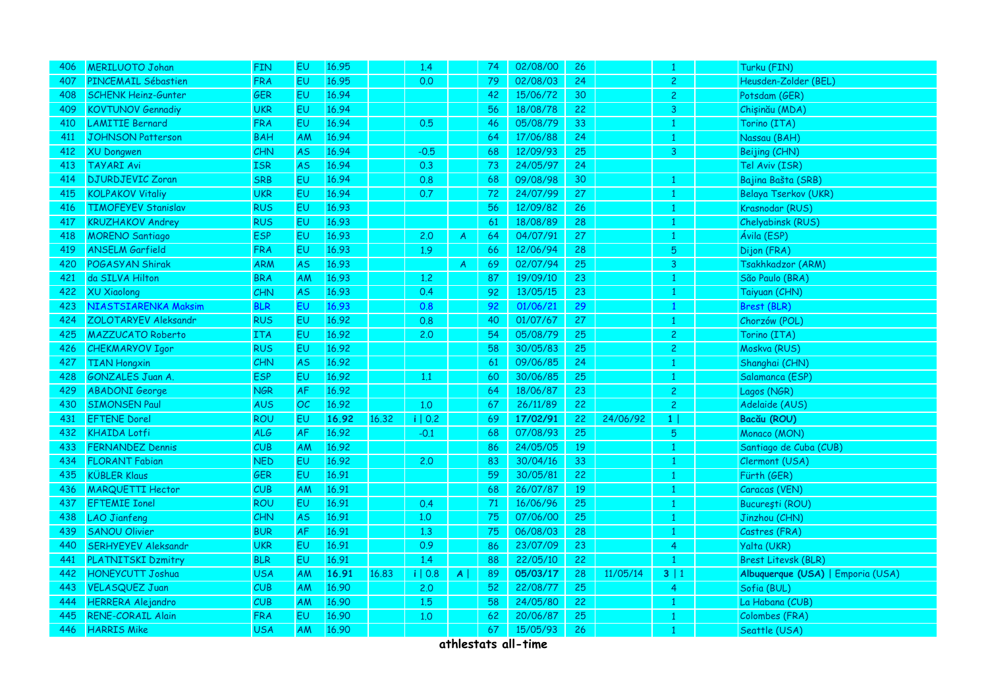| 406 | <b>MERILUOTO Johan</b>     | <b>FIN</b> | EU        | 16.95 |       | 1.4     |              | 74 | 02/08/00 | 26 |          |                | Turku (FIN)                       |
|-----|----------------------------|------------|-----------|-------|-------|---------|--------------|----|----------|----|----------|----------------|-----------------------------------|
| 407 | PINCEMAIL Sébastien        | <b>FRA</b> | EU        | 16.95 |       | 0.0     |              | 79 | 02/08/03 | 24 |          | $\overline{c}$ | Heusden-Zolder (BEL)              |
| 408 | <b>SCHENK Heinz-Gunter</b> | GER        | EU        | 16.94 |       |         |              | 42 | 15/06/72 | 30 |          | $\overline{c}$ | Potsdam (GER)                     |
| 409 | <b>KOVTUNOV Gennadiy</b>   | <b>UKR</b> | EU.       | 16.94 |       |         |              | 56 | 18/08/78 | 22 |          | 3              | Chișinău (MDA)                    |
| 410 | <b>LAMITIE Bernard</b>     | <b>FRA</b> | <b>EU</b> | 16.94 |       | 0.5     |              | 46 | 05/08/79 | 33 |          |                | Torino (ITA)                      |
| 411 | <b>JOHNSON Patterson</b>   | <b>BAH</b> | AM        | 16.94 |       |         |              | 64 | 17/06/88 | 24 |          |                | Nassau (BAH)                      |
| 412 | <b>XU Dongwen</b>          | <b>CHN</b> | AS.       | 16.94 |       | $-0.5$  |              | 68 | 12/09/93 | 25 |          | 3              | Beijing (CHN)                     |
| 413 | <b>TAYARI Avi</b>          | <b>ISR</b> | <b>AS</b> | 16.94 |       | 0.3     |              | 73 | 24/05/97 | 24 |          |                | Tel Aviv (ISR)                    |
| 414 | <b>DJURDJEVIC Zoran</b>    | <b>SRB</b> | EU        | 16.94 |       | 0.8     |              | 68 | 09/08/98 | 30 |          | -1             | Bajina Bašta (SRB)                |
| 415 | <b>KOLPAKOV Vitaliy</b>    | <b>UKR</b> | EU        | 16.94 |       | 0.7     |              | 72 | 24/07/99 | 27 |          | -1             | Belaya Tserkov (UKR)              |
| 416 | <b>TIMOFEYEV Stanislav</b> | <b>RUS</b> | <b>EU</b> | 16.93 |       |         |              | 56 | 12/09/82 | 26 |          |                | Krasnodar (RUS)                   |
| 417 | <b>KRUZHAKOV Andrey</b>    | <b>RUS</b> | <b>EU</b> | 16.93 |       |         |              | 61 | 18/08/89 | 28 |          | $\overline{1}$ | Chelyabinsk (RUS)                 |
| 418 | <b>MORENO Santiago</b>     | <b>ESP</b> | <b>EU</b> | 16.93 |       | 2,0     | A            | 64 | 04/07/91 | 27 |          |                | Ávila (ESP)                       |
| 419 | <b>ANSELM Garfield</b>     | <b>FRA</b> | EU        | 16.93 |       | 1.9     |              | 66 | 12/06/94 | 28 |          | $\overline{5}$ | Dijon (FRA)                       |
| 420 | POGASYAN Shirak            | <b>ARM</b> | AS        | 16.93 |       |         | A            | 69 | 02/07/94 | 25 |          | 3              | Tsakhkadzor (ARM)                 |
| 421 | da SILVA Hilton            | <b>BRA</b> | AM        | 16.93 |       | 1.2     |              | 87 | 19/09/10 | 23 |          |                | São Paulo (BRA)                   |
| 422 | <b>XU Xiaolong</b>         | CHN        | <b>AS</b> | 16.93 |       | 0.4     |              | 92 | 13/05/15 | 23 |          | 1              | Taiyuan (CHN)                     |
| 423 | NIASTSIARENKA Maksim       | <b>BLR</b> | EU        | 16.93 |       | 0.8     |              | 92 | 01/06/21 | 29 |          | -1             | Brest (BLR)                       |
| 424 | ZOLOTARYEV Aleksandr       | <b>RUS</b> | EU.       | 16.92 |       | 0.8     |              | 40 | 01/07/67 | 27 |          | -1             | Chorzów (POL)                     |
| 425 | <b>MAZZUCATO Roberto</b>   | <b>ITA</b> | <b>EU</b> | 16.92 |       | 2.0     |              | 54 | 05/08/79 | 25 |          | $\overline{2}$ | Torino (ITA)                      |
| 426 | <b>CHEKMARYOV Igor</b>     | <b>RUS</b> | EU        | 16.92 |       |         |              | 58 | 30/05/83 | 25 |          | $\overline{2}$ | Moskva (RUS)                      |
| 427 | <b>TIAN Hongxin</b>        | CHN        | <b>AS</b> | 16.92 |       |         |              | 61 | 09/06/85 | 24 |          | -1.            | Shanghai (CHN)                    |
| 428 | <b>GONZALES Juan A.</b>    | <b>ESP</b> | <b>EU</b> | 16.92 |       | 1.1     |              | 60 | 30/06/85 | 25 |          |                | Salamanca (ESP)                   |
| 429 | <b>ABADONI George</b>      | <b>NGR</b> | AF        | 16.92 |       |         |              | 64 | 18/06/87 | 23 |          | $\overline{c}$ | Lagos (NGR)                       |
| 430 | <b>SIMONSEN Paul</b>       | <b>AUS</b> | OC        | 16.92 |       | 1,0     |              | 67 | 26/11/89 | 22 |          | $\overline{c}$ | Adelaide (AUS)                    |
| 431 | <b>EFTENE Dorel</b>        | <b>ROU</b> | EU        | 16.92 | 16.32 | i   0.2 |              | 69 | 17/02/91 | 22 | 24/06/92 | 1 <sup>1</sup> | Bacău (ROU)                       |
| 432 | <b>KHAIDA Lotfi</b>        | <b>ALG</b> | AF        | 16.92 |       | $-0.1$  |              | 68 | 07/08/93 | 25 |          | 5              | Monaco (MON)                      |
| 433 | <b>FERNANDEZ Dennis</b>    | CUB        | AM        | 16.92 |       |         |              | 86 | 24/05/05 | 19 |          |                | Santiago de Cuba (CUB)            |
| 434 | <b>FLORANT Fabian</b>      | <b>NED</b> | EU.       | 16.92 |       | 2.0     |              | 83 | 30/04/16 | 33 |          |                | Clermont (USA)                    |
| 435 | <b>KÜBLER Klaus</b>        | <b>GER</b> | EU.       | 16.91 |       |         |              | 59 | 30/05/81 | 22 |          |                | Fürth (GER)                       |
| 436 | <b>MARQUETTI Hector</b>    | CUB        | <b>AM</b> | 16.91 |       |         |              | 68 | 26/07/87 | 19 |          |                | Caracas (VEN)                     |
| 437 | <b>EFTEMIE Ionel</b>       | <b>ROU</b> | EU        | 16.91 |       | 0.4     |              | 71 | 16/06/96 | 25 |          |                | București (ROU)                   |
| 438 | <b>LAO</b> Jianfeng        | <b>CHN</b> | AS.       | 16.91 |       | 1.0     |              | 75 | 07/06/00 | 25 |          | -1             | Jinzhou (CHN)                     |
| 439 | <b>SANOU Olivier</b>       | <b>BUR</b> | <b>AF</b> | 16.91 |       | 1.3     |              | 75 | 06/08/03 | 28 |          |                | Castres (FRA)                     |
| 440 | <b>SERHYEYEV Aleksandr</b> | <b>UKR</b> | EU.       | 16.91 |       | 0.9     |              | 86 | 23/07/09 | 23 |          | $\overline{4}$ | Yalta (UKR)                       |
| 441 | PLATNITSKI Dzmitry         | <b>BLR</b> | EU.       | 16.91 |       | 1.4     |              | 88 | 22/05/10 | 22 |          |                | <b>Brest Litevsk (BLR)</b>        |
| 442 | <b>HONEYCUTT Joshua</b>    | <b>USA</b> | AM        | 16.91 | 16.83 | i   0.8 | $\mathsf{A}$ | 89 | 05/03/17 | 28 | 11/05/14 | 3 1            | Albuquerque (USA)   Emporia (USA) |
| 443 | <b>VELASQUEZ Juan</b>      | CUB        | <b>AM</b> | 16.90 |       | 2.0     |              | 52 | 22/08/77 | 25 |          | 4              | Sofia (BUL)                       |
| 444 | <b>HERRERA</b> Alejandro   | CUB        | AM        | 16.90 |       | 1.5     |              | 58 | 24/05/80 | 22 |          |                | La Habana (CUB)                   |
| 445 | <b>RENE-CORAIL Alain</b>   | <b>FRA</b> | EU        | 16.90 |       | 1.0     |              | 62 | 20/06/87 | 25 |          |                | Colombes (FRA)                    |
| 446 | <b>HARRIS Mike</b>         | USA        | AM        | 16.90 |       |         |              | 67 | 15/05/93 | 26 |          |                | Seattle (USA)                     |
|     |                            |            |           |       |       |         |              |    |          |    |          |                |                                   |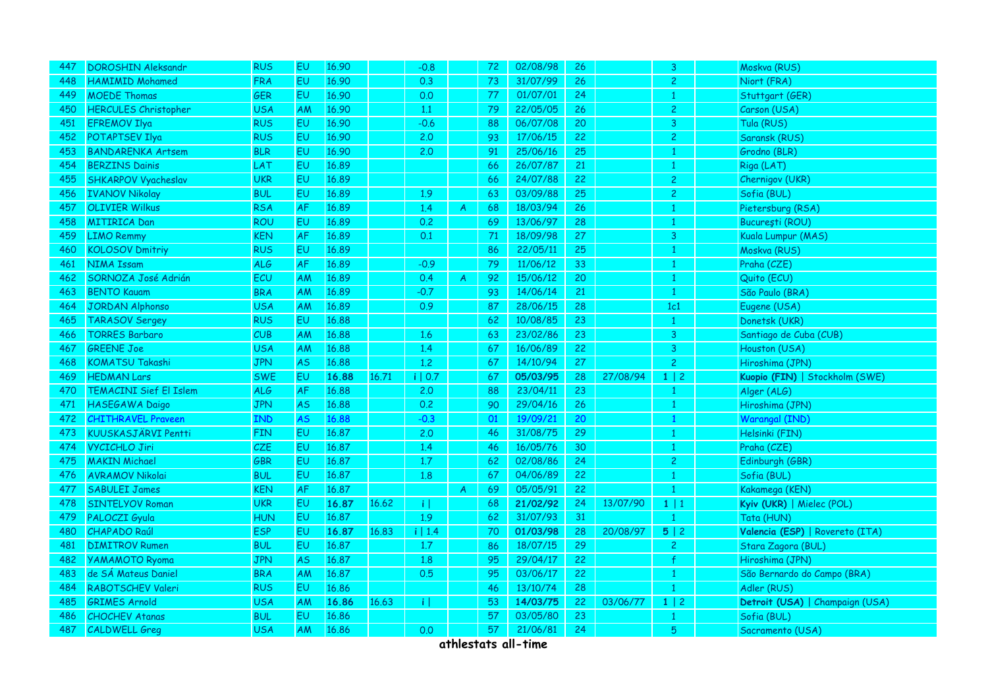| 447 | <b>DOROSHIN Aleksandr</b>     | <b>RUS</b> | EU.       | 16.90 |       | $-0.8$            |    | 72 | 02/08/98 | 26 |          | 3              | Moskva (RUS)                    |
|-----|-------------------------------|------------|-----------|-------|-------|-------------------|----|----|----------|----|----------|----------------|---------------------------------|
| 448 | <b>HAMIMID Mohamed</b>        | <b>FRA</b> | EU.       | 16.90 |       | 0.3               |    | 73 | 31/07/99 | 26 |          | $\overline{2}$ | Niort (FRA)                     |
| 449 | <b>MOEDE Thomas</b>           | GER        | <b>EU</b> | 16.90 |       | 0.0               |    | 77 | 01/07/01 | 24 |          | -1             | Stuttgart (GER)                 |
| 450 | <b>HERCULES Christopher</b>   | <b>USA</b> | AM        | 16.90 |       | 1.1               |    | 79 | 22/05/05 | 26 |          | $\overline{c}$ | Carson (USA)                    |
| 451 | <b>EFREMOV Ilya</b>           | <b>RUS</b> | EU.       | 16.90 |       | $-0.6$            |    | 88 | 06/07/08 | 20 |          | 3              | Tula (RUS)                      |
| 452 | <b>POTAPTSEV Ilya</b>         | <b>RUS</b> | <b>EU</b> | 16.90 |       | 2.0               |    | 93 | 17/06/15 | 22 |          | $\overline{c}$ | Saransk (RUS)                   |
| 453 | <b>BANDARENKA Artsem</b>      | <b>BLR</b> | EU.       | 16.90 |       | 2.0               |    | 91 | 25/06/16 | 25 |          |                | Grodno (BLR)                    |
| 454 | <b>BERZINS Dainis</b>         | LAT        | <b>EU</b> | 16.89 |       |                   |    | 66 | 26/07/87 | 21 |          |                | Riga (LAT)                      |
| 455 | <b>SHKARPOV Vyacheslav</b>    | <b>UKR</b> | EU        | 16.89 |       |                   |    | 66 | 24/07/88 | 22 |          | $\overline{c}$ | Chernigov (UKR)                 |
| 456 | <b>IVANOV Nikolay</b>         | <b>BUL</b> | EU.       | 16.89 |       | 1.9               |    | 63 | 03/09/88 | 25 |          | $\overline{2}$ | Sofia (BUL)                     |
| 457 | <b>OLIVIER Wilkus</b>         | <b>RSA</b> | <b>AF</b> | 16.89 |       | 1.4               | A  | 68 | 18/03/94 | 26 |          |                | Pietersburg (RSA)               |
| 458 | <b>MITIRICA Dan</b>           | <b>ROU</b> | EU        | 16.89 |       | 0.2               |    | 69 | 13/06/97 | 28 |          |                | București (ROU)                 |
| 459 | <b>LIMO Remmy</b>             | <b>KEN</b> | AF        | 16.89 |       | 0.1               |    | 71 | 18/09/98 | 27 |          | 3              | Kuala Lumpur (MAS)              |
| 460 | <b>KOLOSOV Dmitriy</b>        | <b>RUS</b> | EU        | 16.89 |       |                   |    | 86 | 22/05/11 | 25 |          | -1             | Moskva (RUS)                    |
| 461 | <b>NIMA Issam</b>             | <b>ALG</b> | <b>AF</b> | 16.89 |       | $-0.9$            |    | 79 | 11/06/12 | 33 |          |                | Praha (CZE)                     |
| 462 | SORNOZA José Adrián           | ECU        | <b>AM</b> | 16.89 |       | 0.4               | A  | 92 | 15/06/12 | 20 |          |                | Quito (ECU)                     |
| 463 | <b>BENTO Kauam</b>            | <b>BRA</b> | <b>AM</b> | 16.89 |       | $-0.7$            |    | 93 | 14/06/14 | 21 |          | $\mathbf{1}$   | São Paulo (BRA)                 |
| 464 | <b>JORDAN Alphonso</b>        | USA        | <b>AM</b> | 16.89 |       | 0.9               |    | 87 | 28/06/15 | 28 |          | 1c1            | Eugene (USA)                    |
| 465 | <b>TARASOV Sergey</b>         | <b>RUS</b> | EU.       | 16,88 |       |                   |    | 62 | 10/08/85 | 23 |          | -1             | Donetsk (UKR)                   |
| 466 | <b>TORRES Barbaro</b>         | CUB        | AM        | 16.88 |       | 1.6               |    | 63 | 23/02/86 | 23 |          | 3              | Santiago de Cuba (CUB)          |
| 467 | <b>GREENE Joe</b>             | USA        | ΑM        | 16.88 |       | 1.4               |    | 67 | 16/06/89 | 22 |          | 3              | Houston (USA)                   |
| 468 | <b>KOMATSU Takashi</b>        | <b>JPN</b> | <b>AS</b> | 16.88 |       | 1,2               |    | 67 | 14/10/94 | 27 |          | 2 <sup>1</sup> | Hiroshima (JPN)                 |
| 469 | <b>HEDMAN Lars</b>            | <b>SWE</b> | EU        | 16.88 | 16.71 | i   0.7           |    | 67 | 05/03/95 | 28 | 27/08/94 | $1 \mid 2$     | Kuopio (FIN)   Stockholm (SWE)  |
| 470 | <b>TEMACINI Sief El Islem</b> | <b>ALG</b> | <b>AF</b> | 16,88 |       | 2.0               |    | 88 | 23/04/11 | 23 |          |                | Alger (ALG)                     |
| 471 | HASEGAWA Daigo                | <b>JPN</b> | <b>AS</b> | 16.88 |       | 0.2               |    | 90 | 29/04/16 | 26 |          |                | Hiroshima (JPN)                 |
| 472 | <b>CHITHRAVEL Praveen</b>     | <b>IND</b> | AS        | 16.88 |       | $-0.3$            |    | 01 | 19/09/21 | 20 |          |                | Warangal (IND)                  |
| 473 | KUUSKASJÄRVI Pentti           | <b>FIN</b> | EU        | 16.87 |       | 2,0               |    | 46 | 31/08/75 | 29 |          | -1             | Helsinki (FIN)                  |
| 474 | <b>VYCICHLO Jiri</b>          | CZE        | EU        | 16.87 |       | 1.4               |    | 46 | 16/05/76 | 30 |          |                | Praha (CZE)                     |
| 475 | <b>MAKIN Michael</b>          | GBR        | EU        | 16.87 |       | 1.7               |    | 62 | 02/08/86 | 24 |          | $\overline{c}$ | Edinburgh (GBR)                 |
| 476 | <b>AVRAMOV Nikolai</b>        | <b>BUL</b> | EU        | 16,87 |       | 1.8               |    | 67 | 04/06/89 | 22 |          | -1             | Sofia (BUL)                     |
| 477 | <b>SABULEI James</b>          | <b>KEN</b> | <b>AF</b> | 16.87 |       |                   | A. | 69 | 05/05/91 | 22 |          |                | Kakamega (KEN)                  |
| 478 | <b>SINTELYOV Roman</b>        | UKR        | EU        | 16.87 | 16.62 | ΠĪ                |    | 68 | 21/02/92 | 24 | 13/07/90 | 1 1            | Kyiv (UKR)   Mielec (POL)       |
| 479 | PALOCZI Gyula                 | HUN        | EU        | 16.87 |       | 1.9               |    | 62 | 31/07/93 | 31 |          |                | Tata (HUN)                      |
| 480 | <b>CHAPADO Raúl</b>           | <b>ESP</b> | <b>EU</b> | 16.87 | 16.83 | i   1.4           |    | 70 | 01/03/98 | 28 | 20/08/97 | 5 2            | Valencia (ESP)   Rovereto (ITA) |
| 481 | <b>DIMITROV Rumen</b>         | <b>BUL</b> | EU        | 16.87 |       | 1.7               |    | 86 | 18/07/15 | 29 |          | $\overline{2}$ | Stara Zagora (BUL)              |
| 482 | <b>YAMAMOTO Ryoma</b>         | <b>JPN</b> | <b>AS</b> | 16.87 |       | 1.8               |    | 95 | 29/04/17 | 22 |          |                | Hiroshima (JPN)                 |
| 483 | de SÁ Mateus Daniel           | <b>BRA</b> | AM        | 16.87 |       | 0.5               |    | 95 | 03/06/17 | 22 |          | -1             | São Bernardo do Campo (BRA)     |
| 484 | RABOTSCHEV Valeri             | <b>RUS</b> | EU        | 16.86 |       |                   |    | 46 | 13/10/74 | 28 |          |                | Adler (RUS)                     |
| 485 | <b>GRIMES Arnold</b>          | <b>USA</b> | AM        | 16.86 | 16.63 | $\lceil i \rceil$ |    | 53 | 14/03/75 | 22 | 03/06/77 | $1 \mid 2$     | Detroit (USA)   Champaign (USA) |
| 486 | <b>CHOCHEV Atanas</b>         | <b>BUL</b> | EU        | 16.86 |       |                   |    | 57 | 03/05/80 | 23 |          | -1             | Sofia (BUL)                     |
| 487 | <b>CALDWELL Greg</b>          | <b>USA</b> | <b>AM</b> | 16.86 |       | 0.0               |    | 57 | 21/06/81 | 24 |          | 5              | Sacramento (USA)                |
|     |                               |            |           |       |       |                   |    |    |          |    |          |                |                                 |